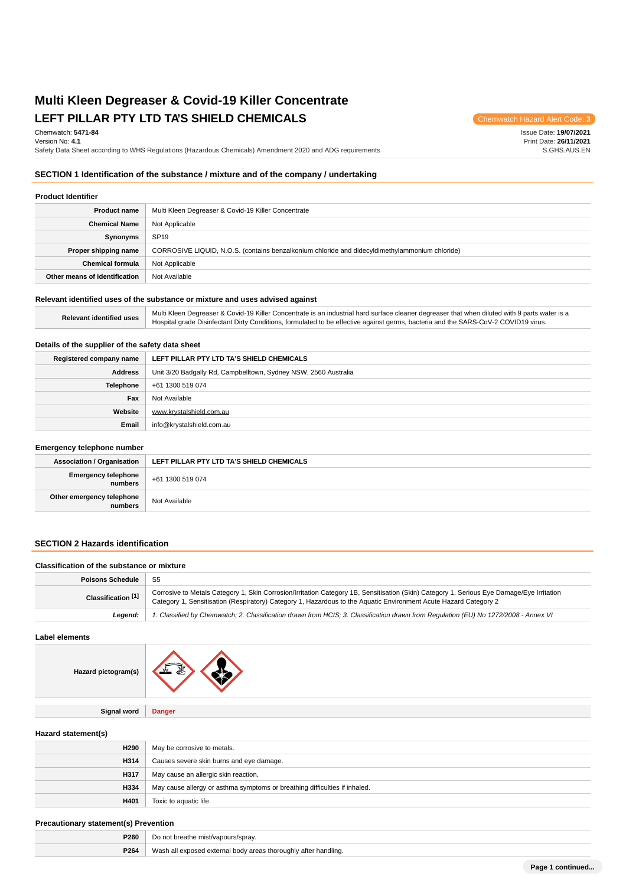# **Multi Kleen Degreaser & Covid-19 Killer Concentrate** LEFT PILLAR PTY LTD TA'S SHIELD CHEMICALS **Chemwatch Hazard Alert Code: 3**

Chemwatch: **5471-84**

Version No: **4.1**

Safety Data Sheet according to WHS Regulations (Hazardous Chemicals) Amendment 2020 and ADG requirements

Issue Date: **19/07/2021** Print Date: **26/11/2021** S.GHS.AUS.EN

## **SECTION 1 Identification of the substance / mixture and of the company / undertaking**

## **Product Identifier**

| <b>Product name</b>           | Multi Kleen Degreaser & Covid-19 Killer Concentrate                                            |  |
|-------------------------------|------------------------------------------------------------------------------------------------|--|
| <b>Chemical Name</b>          | Not Applicable                                                                                 |  |
| Synonyms                      | <b>SP19</b>                                                                                    |  |
| Proper shipping name          | CORROSIVE LIQUID, N.O.S. (contains benzalkonium chloride and didecyldimethylammonium chloride) |  |
| <b>Chemical formula</b>       | Not Applicable                                                                                 |  |
| Other means of identification | Not Available                                                                                  |  |

# **Relevant identified uses of the substance or mixture and uses advised against**

**Relevant identified uses** Multi Kleen Degreaser & Covid-19 Killer Concentrate is an industrial hard surface cleaner degreaser that when diluted with 9 parts water is a<br>Multi Steen District District District Conditions for Hospital grade Disinfectant Dirty Conditions, formulated to be effective against germs, bacteria and the SARS-CoV-2 COVID19 virus.

#### **Details of the supplier of the safety data sheet**

| Registered company name | LEFT PILLAR PTY LTD TA'S SHIELD CHEMICALS                       |  |
|-------------------------|-----------------------------------------------------------------|--|
| <b>Address</b>          | Unit 3/20 Badgally Rd, Campbelltown, Sydney NSW, 2560 Australia |  |
| <b>Telephone</b>        | +61 1300 519 074                                                |  |
| Fax                     | Not Available                                                   |  |
| Website                 | www.krystalshield.com.au                                        |  |
| Email                   | info@krystalshield.com.au                                       |  |

#### **Emergency telephone number**

| <b>Association / Organisation</b>    | LEFT PILLAR PTY LTD TA'S SHIELD CHEMICALS |  |
|--------------------------------------|-------------------------------------------|--|
| Emergency telephone                  | +61 1300 519 074                          |  |
| Other emergency telephone<br>numbers | Not Available                             |  |

#### **SECTION 2 Hazards identification**

#### **Classification of the substance or mixture**

| <b>Poisons Schedule</b> | -S5                                                                                                                                                                                                                                                           |  |
|-------------------------|---------------------------------------------------------------------------------------------------------------------------------------------------------------------------------------------------------------------------------------------------------------|--|
| Classification [1]      | Corrosive to Metals Category 1, Skin Corrosion/Irritation Category 1B, Sensitisation (Skin) Category 1, Serious Eye Damage/Eye Irritation<br>Category 1, Sensitisation (Respiratory) Category 1, Hazardous to the Aquatic Environment Acute Hazard Category 2 |  |
| Leaend:                 | 1. Classified by Chemwatch; 2. Classification drawn from HCIS; 3. Classification drawn from Regulation (EU) No 1272/2008 - Annex VI                                                                                                                           |  |

**Label elements**



**Signal word Danger**

#### **Hazard statement(s)**

| H <sub>290</sub> | May be corrosive to metals.                                                |  |
|------------------|----------------------------------------------------------------------------|--|
| H314             | Causes severe skin burns and eye damage.                                   |  |
| H317             | May cause an allergic skin reaction.                                       |  |
| H334             | May cause allergy or asthma symptoms or breathing difficulties if inhaled. |  |
| H401             | Toxic to aquatic life.                                                     |  |

#### **Precautionary statement(s) Prevention**

| P260 | t breathe mist/vapours/sprav.<br>Do not                                                                              |  |
|------|----------------------------------------------------------------------------------------------------------------------|--|
| P264 | Wasi<br>'I exposed external body areas thoroughly after handling.<br>the contract of the contract of the contract of |  |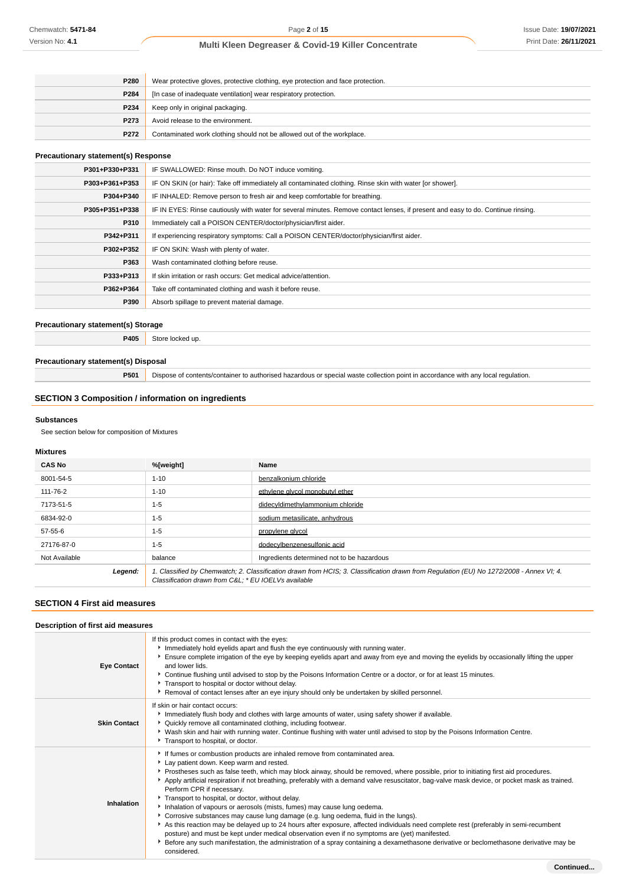| P280             | Wear protective gloves, protective clothing, eye protection and face protection. |  |
|------------------|----------------------------------------------------------------------------------|--|
| P284             | [In case of inadequate ventilation] wear respiratory protection.                 |  |
| P234             | Keep only in original packaging.                                                 |  |
| P <sub>273</sub> | Avoid release to the environment.                                                |  |
| P272             | Contaminated work clothing should not be allowed out of the workplace.           |  |

## **Precautionary statement(s) Response**

| P301+P330+P331 | IF SWALLOWED: Rinse mouth. Do NOT induce vomiting.                                                                               |
|----------------|----------------------------------------------------------------------------------------------------------------------------------|
| P303+P361+P353 | IF ON SKIN (or hair): Take off immediately all contaminated clothing. Rinse skin with water [or shower].                         |
| P304+P340      | IF INHALED: Remove person to fresh air and keep comfortable for breathing.                                                       |
| P305+P351+P338 | IF IN EYES: Rinse cautiously with water for several minutes. Remove contact lenses, if present and easy to do. Continue rinsing. |
| P310           | Immediately call a POISON CENTER/doctor/physician/first aider.                                                                   |
| P342+P311      | If experiencing respiratory symptoms: Call a POISON CENTER/doctor/physician/first aider.                                         |
| P302+P352      | IF ON SKIN: Wash with plenty of water.                                                                                           |
| P363           | Wash contaminated clothing before reuse.                                                                                         |
| P333+P313      | If skin irritation or rash occurs: Get medical advice/attention.                                                                 |
| P362+P364      | Take off contaminated clothing and wash it before reuse.                                                                         |
| P390           | Absorb spillage to prevent material damage.                                                                                      |

#### **Precautionary statement(s) Storage**

**P405** Store locked up.

#### **Precautionary statement(s) Disposal**

**P501** Dispose of contents/container to authorised hazardous or special waste collection point in accordance with any local regulation.

## **SECTION 3 Composition / information on ingredients**

#### **Substances**

See section below for composition of Mixtures

#### **Mixtures**

| <b>CAS No</b> | %[weight]                                                                                                                                                                                       | Name                                       |
|---------------|-------------------------------------------------------------------------------------------------------------------------------------------------------------------------------------------------|--------------------------------------------|
| 8001-54-5     | $1 - 10$                                                                                                                                                                                        | benzalkonium chloride                      |
| 111-76-2      | $1 - 10$                                                                                                                                                                                        | ethylene alvcol monobutyl ether            |
| 7173-51-5     | $1 - 5$                                                                                                                                                                                         | didecyldimethylammonium chloride           |
| 6834-92-0     | $1 - 5$                                                                                                                                                                                         | sodium metasilicate, anhydrous             |
| 57-55-6       | $1 - 5$                                                                                                                                                                                         | propylene glycol                           |
| 27176-87-0    | $1 - 5$                                                                                                                                                                                         | dodecylbenzenesulfonic acid                |
| Not Available | balance                                                                                                                                                                                         | Ingredients determined not to be hazardous |
| Legend:       | 1. Classified by Chemwatch; 2. Classification drawn from HCIS; 3. Classification drawn from Regulation (EU) No 1272/2008 - Annex VI; 4.<br>Classification drawn from C&L: * EU IOELVs available |                                            |

## **SECTION 4 First aid measures**

| Description of first aid measures |                                                                                                                                                                                                                                                                                                                                                                                                                                                                                                                                                                                                                                                                                                                                                                                                                                                                                                                                                                                                                                                                        |  |
|-----------------------------------|------------------------------------------------------------------------------------------------------------------------------------------------------------------------------------------------------------------------------------------------------------------------------------------------------------------------------------------------------------------------------------------------------------------------------------------------------------------------------------------------------------------------------------------------------------------------------------------------------------------------------------------------------------------------------------------------------------------------------------------------------------------------------------------------------------------------------------------------------------------------------------------------------------------------------------------------------------------------------------------------------------------------------------------------------------------------|--|
| <b>Eye Contact</b>                | If this product comes in contact with the eyes:<br>Immediately hold eyelids apart and flush the eye continuously with running water.<br>Ensure complete irrigation of the eye by keeping eyelids apart and away from eye and moving the eyelids by occasionally lifting the upper<br>and lower lids.<br>▶ Continue flushing until advised to stop by the Poisons Information Centre or a doctor, or for at least 15 minutes.<br>Transport to hospital or doctor without delay.<br>Removal of contact lenses after an eye injury should only be undertaken by skilled personnel.                                                                                                                                                                                                                                                                                                                                                                                                                                                                                        |  |
| <b>Skin Contact</b>               | If skin or hair contact occurs:<br>Immediately flush body and clothes with large amounts of water, using safety shower if available.<br>• Quickly remove all contaminated clothing, including footwear.<br>▶ Wash skin and hair with running water. Continue flushing with water until advised to stop by the Poisons Information Centre.<br>Transport to hospital, or doctor.                                                                                                                                                                                                                                                                                                                                                                                                                                                                                                                                                                                                                                                                                         |  |
| Inhalation                        | If fumes or combustion products are inhaled remove from contaminated area.<br>Lay patient down. Keep warm and rested.<br>▶ Prostheses such as false teeth, which may block airway, should be removed, where possible, prior to initiating first aid procedures.<br>Apply artificial respiration if not breathing, preferably with a demand valve resuscitator, bag-valve mask device, or pocket mask as trained.<br>Perform CPR if necessary.<br>Transport to hospital, or doctor, without delay.<br>Inhalation of vapours or aerosols (mists, fumes) may cause lung oedema.<br>▶ Corrosive substances may cause lung damage (e.g. lung oedema, fluid in the lungs).<br>As this reaction may be delayed up to 24 hours after exposure, affected individuals need complete rest (preferably in semi-recumbent<br>posture) and must be kept under medical observation even if no symptoms are (yet) manifested.<br>Effore any such manifestation, the administration of a spray containing a dexamethasone derivative or beclomethasone derivative may be<br>considered. |  |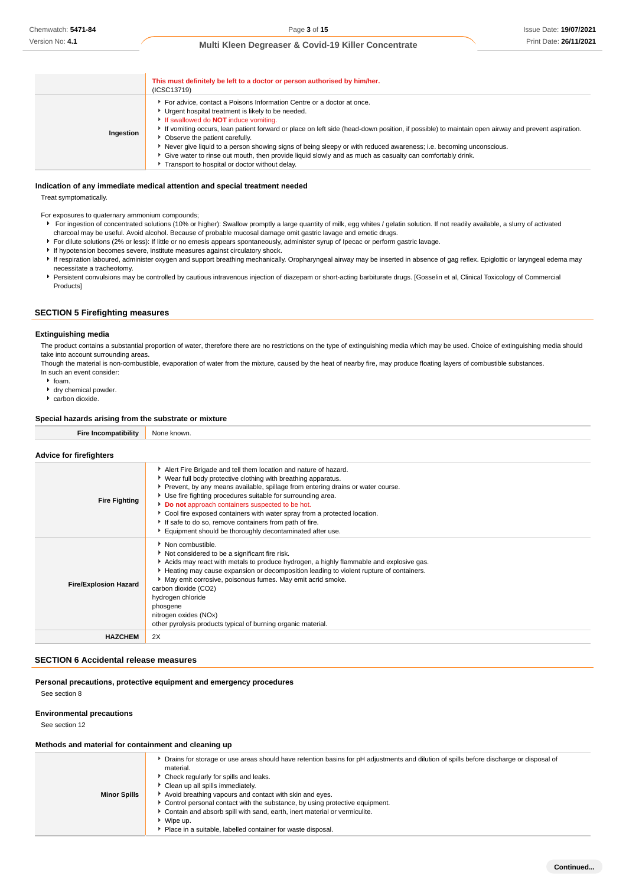|           | This must definitely be left to a doctor or person authorised by him/her.<br>(ICSC13719)                                                                                                                                                                                                                                                                                                                                                                                                                                                                                                                                                             |
|-----------|------------------------------------------------------------------------------------------------------------------------------------------------------------------------------------------------------------------------------------------------------------------------------------------------------------------------------------------------------------------------------------------------------------------------------------------------------------------------------------------------------------------------------------------------------------------------------------------------------------------------------------------------------|
| Ingestion | For advice, contact a Poisons Information Centre or a doctor at once.<br>Urgent hospital treatment is likely to be needed.<br>If swallowed do <b>NOT</b> induce vomiting.<br>If vomiting occurs, lean patient forward or place on left side (head-down position, if possible) to maintain open airway and prevent aspiration.<br>Observe the patient carefully.<br>Never give liquid to a person showing signs of being sleepy or with reduced awareness; i.e. becoming unconscious.<br>► Give water to rinse out mouth, then provide liquid slowly and as much as casualty can comfortably drink.<br>Transport to hospital or doctor without delay. |

#### **Indication of any immediate medical attention and special treatment needed**

Treat symptomatically.

For exposures to quaternary ammonium compounds;

- For ingestion of concentrated solutions (10% or higher): Swallow promptly a large quantity of milk, egg whites / gelatin solution. If not readily available, a slurry of activated charcoal may be useful. Avoid alcohol. Because of probable mucosal damage omit gastric lavage and emetic drugs.
- For dilute solutions (2% or less): If little or no emesis appears spontaneously, administer syrup of Ipecac or perform gastric lavage.
- If hypotension becomes severe, institute measures against circulatory shock.
- If respiration laboured, administer oxygen and support breathing mechanically. Oropharyngeal airway may be inserted in absence of gag reflex. Epiglottic or laryngeal edema may necessitate a tracheotomy.
- Persistent convulsions may be controlled by cautious intravenous injection of diazepam or short-acting barbiturate drugs. [Gosselin et al, Clinical Toxicology of Commercial Products]

#### **SECTION 5 Firefighting measures**

#### **Extinguishing media**

The product contains a substantial proportion of water, therefore there are no restrictions on the type of extinguishing media which may be used. Choice of extinguishing media should take into account surrounding areas.

Though the material is non-combustible, evaporation of water from the mixture, caused by the heat of nearby fire, may produce floating layers of combustible substances. In such an event consider:

- $\cdot$  foam.
- <sup>t</sup> dry chemical powder.
- carbon dioxide.

#### **Special hazards arising from the substrate or mixture**

| Fire Incompatibility           | None known. |
|--------------------------------|-------------|
|                                |             |
| <b>Advice for firefighters</b> |             |

| <b>Fire Fighting</b>         | Alert Fire Brigade and tell them location and nature of hazard.<br>▶ Wear full body protective clothing with breathing apparatus.<br>▶ Prevent, by any means available, spillage from entering drains or water course.<br>Use fire fighting procedures suitable for surrounding area.<br>Do not approach containers suspected to be hot.<br>Cool fire exposed containers with water spray from a protected location.<br>If safe to do so, remove containers from path of fire.<br>Equipment should be thoroughly decontaminated after use. |
|------------------------------|--------------------------------------------------------------------------------------------------------------------------------------------------------------------------------------------------------------------------------------------------------------------------------------------------------------------------------------------------------------------------------------------------------------------------------------------------------------------------------------------------------------------------------------------|
| <b>Fire/Explosion Hazard</b> | • Non combustible.<br>Not considered to be a significant fire risk.<br>Acids may react with metals to produce hydrogen, a highly flammable and explosive gas.<br>Heating may cause expansion or decomposition leading to violent rupture of containers.<br>May emit corrosive, poisonous fumes. May emit acrid smoke.<br>carbon dioxide (CO2)<br>hydrogen chloride<br>phosgene<br>nitrogen oxides (NOx)<br>other pyrolysis products typical of burning organic material.                                                                   |
| <b>HAZCHEM</b>               | 2X                                                                                                                                                                                                                                                                                                                                                                                                                                                                                                                                         |

#### **SECTION 6 Accidental release measures**

**Personal precautions, protective equipment and emergency procedures**

See section 8

#### **Environmental precautions**

See section 12

#### **Methods and material for containment and cleaning up**

|                     | • Drains for storage or use areas should have retention basins for pH adjustments and dilution of spills before discharge or disposal of<br>material.<br>▶ Check regularly for spills and leaks. |
|---------------------|--------------------------------------------------------------------------------------------------------------------------------------------------------------------------------------------------|
|                     | Clean up all spills immediately.                                                                                                                                                                 |
| <b>Minor Spills</b> | Avoid breathing vapours and contact with skin and eyes.                                                                                                                                          |
|                     | ► Control personal contact with the substance, by using protective equipment.                                                                                                                    |
|                     | Contain and absorb spill with sand, earth, inert material or vermiculite.                                                                                                                        |
|                     | ▶ Wipe up.                                                                                                                                                                                       |
|                     | Place in a suitable, labelled container for waste disposal.                                                                                                                                      |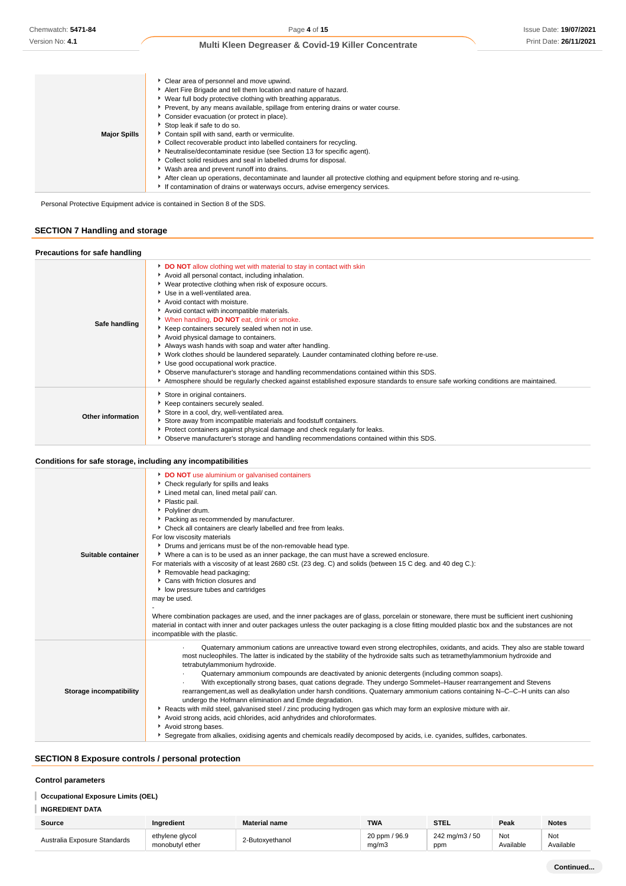| <b>Major Spills</b> | Clear area of personnel and move upwind.<br>Alert Fire Brigade and tell them location and nature of hazard.<br>▶ Wear full body protective clothing with breathing apparatus.<br>Prevent, by any means available, spillage from entering drains or water course.<br>Consider evacuation (or protect in place).<br>Stop leak if safe to do so.<br>Contain spill with sand, earth or vermiculite.<br>• Collect recoverable product into labelled containers for recycling.<br>Neutralise/decontaminate residue (see Section 13 for specific agent).<br>Collect solid residues and seal in labelled drums for disposal.<br>▶ Wash area and prevent runoff into drains.<br>After clean up operations, decontaminate and launder all protective clothing and equipment before storing and re-using. |
|---------------------|------------------------------------------------------------------------------------------------------------------------------------------------------------------------------------------------------------------------------------------------------------------------------------------------------------------------------------------------------------------------------------------------------------------------------------------------------------------------------------------------------------------------------------------------------------------------------------------------------------------------------------------------------------------------------------------------------------------------------------------------------------------------------------------------|
|                     | If contamination of drains or waterways occurs, advise emergency services.                                                                                                                                                                                                                                                                                                                                                                                                                                                                                                                                                                                                                                                                                                                     |

Personal Protective Equipment advice is contained in Section 8 of the SDS.

# **SECTION 7 Handling and storage**

| Precautions for safe handling |                                                                                                                                                                                                                                                                                                                                                                                                                                                                                                                                                                                                                                                                                                                                                                                                                                                                                  |
|-------------------------------|----------------------------------------------------------------------------------------------------------------------------------------------------------------------------------------------------------------------------------------------------------------------------------------------------------------------------------------------------------------------------------------------------------------------------------------------------------------------------------------------------------------------------------------------------------------------------------------------------------------------------------------------------------------------------------------------------------------------------------------------------------------------------------------------------------------------------------------------------------------------------------|
| Safe handling                 | DO NOT allow clothing wet with material to stay in contact with skin<br>Avoid all personal contact, including inhalation.<br>▶ Wear protective clothing when risk of exposure occurs.<br>Use in a well-ventilated area.<br>Avoid contact with moisture.<br>Avoid contact with incompatible materials.<br>* When handling, DO NOT eat, drink or smoke.<br>Keep containers securely sealed when not in use.<br>Avoid physical damage to containers.<br>Always wash hands with soap and water after handling.<br>▶ Work clothes should be laundered separately. Launder contaminated clothing before re-use.<br>Use good occupational work practice.<br>▶ Observe manufacturer's storage and handling recommendations contained within this SDS.<br>Atmosphere should be regularly checked against established exposure standards to ensure safe working conditions are maintained. |
| Other information             | Store in original containers.<br>Keep containers securely sealed.<br>Store in a cool, dry, well-ventilated area.<br>Store away from incompatible materials and foodstuff containers.<br>Protect containers against physical damage and check regularly for leaks.<br>• Observe manufacturer's storage and handling recommendations contained within this SDS.                                                                                                                                                                                                                                                                                                                                                                                                                                                                                                                    |

## **Conditions for safe storage, including any incompatibilities**

| Suitable container      | DO NOT use aluminium or galvanised containers<br>• Check regularly for spills and leaks<br>Lined metal can, lined metal pail/ can.<br>• Plastic pail.<br>▶ Polyliner drum.<br>Packing as recommended by manufacturer.<br>Check all containers are clearly labelled and free from leaks.<br>For low viscosity materials<br>• Drums and jerricans must be of the non-removable head type.<br>▶ Where a can is to be used as an inner package, the can must have a screwed enclosure.<br>For materials with a viscosity of at least 2680 cSt. (23 deg. C) and solids (between 15 C deg. and 40 deg C.):<br>Removable head packaging;<br>Cans with friction closures and<br>low pressure tubes and cartridges<br>may be used.<br>Where combination packages are used, and the inner packages are of glass, porcelain or stoneware, there must be sufficient inert cushioning<br>material in contact with inner and outer packages unless the outer packaging is a close fitting moulded plastic box and the substances are not<br>incompatible with the plastic.         |
|-------------------------|----------------------------------------------------------------------------------------------------------------------------------------------------------------------------------------------------------------------------------------------------------------------------------------------------------------------------------------------------------------------------------------------------------------------------------------------------------------------------------------------------------------------------------------------------------------------------------------------------------------------------------------------------------------------------------------------------------------------------------------------------------------------------------------------------------------------------------------------------------------------------------------------------------------------------------------------------------------------------------------------------------------------------------------------------------------------|
| Storage incompatibility | Quaternary ammonium cations are unreactive toward even strong electrophiles, oxidants, and acids. They also are stable toward<br>most nucleophiles. The latter is indicated by the stability of the hydroxide salts such as tetramethylammonium hydroxide and<br>tetrabutylammonium hydroxide.<br>Quaternary ammonium compounds are deactivated by anionic detergents (including common soaps).<br>With exceptionally strong bases, quat cations degrade. They undergo Sommelet-Hauser rearrangement and Stevens<br>rearrangement, as well as dealkylation under harsh conditions. Quaternary ammonium cations containing N-C-C-H units can also<br>undergo the Hofmann elimination and Emde degradation.<br>▶ Reacts with mild steel, galvanised steel / zinc producing hydrogen gas which may form an explosive mixture with air.<br>Avoid strong acids, acid chlorides, acid anhydrides and chloroformates.<br>Avoid strong bases.<br>▶ Segregate from alkalies, oxidising agents and chemicals readily decomposed by acids, i.e. cyanides, sulfides, carbonates. |

# **SECTION 8 Exposure controls / personal protection**

## **Control parameters**

# **Occupational Exposure Limits (OEL)**

| <b>INGREDIENT DATA</b> |
|------------------------|
|------------------------|

| Source                       | Ingredient                         | <b>Material name</b> | <b>TWA</b>             | <b>STEL</b>           | Peak            | <b>Notes</b>     |
|------------------------------|------------------------------------|----------------------|------------------------|-----------------------|-----------------|------------------|
| Australia Exposure Standards | ethylene alvcol<br>monobutyl ether | 2-Butoxvethanol      | 20 ppm / 96.9<br>ma/m3 | 242 mg/m3 / 50<br>ppm | No<br>Available | Not<br>Available |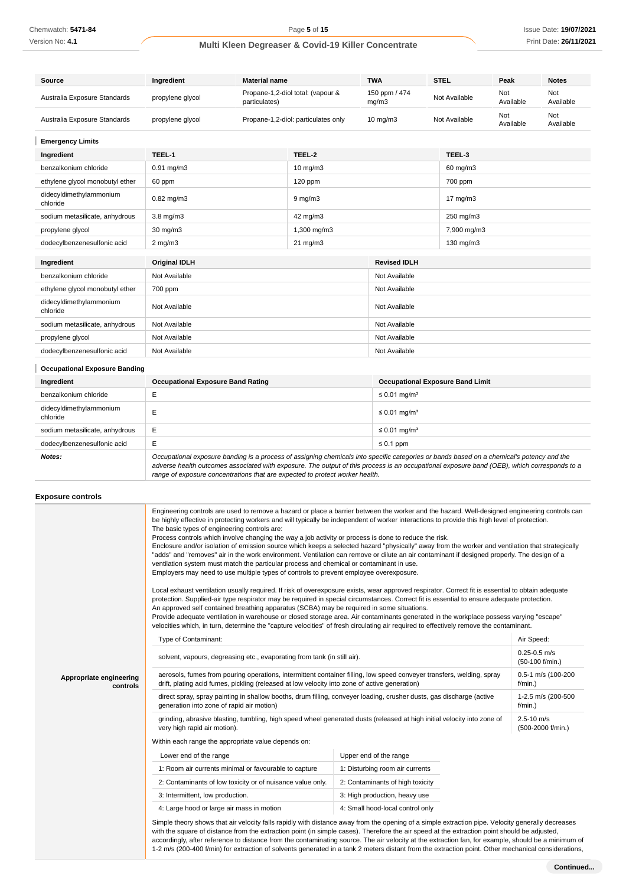Version No: **4.1**

# **Multi Kleen Degreaser & Covid-19 Killer Concentrate**

| Source                              | Ingredient<br><b>Material name</b>    |                                     | <b>TWA</b>                        | <b>STEL</b>            | Peak              | <b>Notes</b>     |                  |
|-------------------------------------|---------------------------------------|-------------------------------------|-----------------------------------|------------------------|-------------------|------------------|------------------|
| Australia Exposure Standards        | propylene glycol                      | particulates)                       | Propane-1,2-diol total: (vapour & | 150 ppm / 474<br>mg/m3 | Not Available     | Not<br>Available | Not<br>Available |
| Australia Exposure Standards        | propylene glycol                      | Propane-1,2-diol: particulates only |                                   | 10 mg/m3               | Not Available     | Not<br>Available | Not<br>Available |
| <b>Emergency Limits</b>             |                                       |                                     |                                   |                        |                   |                  |                  |
| Ingredient                          | TEEL-1                                |                                     | TEEL-2                            |                        | TEEL-3            |                  |                  |
| benzalkonium chloride               | $0.91$ mg/m $3$                       |                                     |                                   |                        | 60 mg/m3          |                  |                  |
| ethylene glycol monobutyl ether     | 60 ppm                                |                                     | 120 ppm                           |                        | 700 ppm           |                  |                  |
| didecyldimethylammonium<br>chloride | $0.82$ mg/m $3$                       |                                     | $9$ mg/m $3$                      |                        | $17 \text{ mg/m}$ |                  |                  |
| sodium metasilicate, anhydrous      | 3.8 mg/m3                             |                                     | 42 mg/m3                          |                        | 250 mg/m3         |                  |                  |
| propylene glycol                    | 30 mg/m3                              |                                     | 1,300 mg/m3                       |                        | 7,900 mg/m3       |                  |                  |
| dodecylbenzenesulfonic acid         | $2 \text{ mg/m}$<br>$21 \text{ mg/m}$ |                                     |                                   | 130 mg/m3              |                   |                  |                  |
| Ingredient                          | <b>Original IDLH</b>                  |                                     |                                   | <b>Revised IDLH</b>    |                   |                  |                  |
| benzalkonium chloride               | Not Available                         |                                     |                                   | Not Available          |                   |                  |                  |
| ethylene glycol monobutyl ether     | 700 ppm                               |                                     | Not Available                     |                        |                   |                  |                  |
| didecyldimethylammonium<br>chloride | Not Available                         |                                     | Not Available                     |                        |                   |                  |                  |
| sodium metasilicate, anhydrous      | Not Available                         |                                     | Not Available                     |                        |                   |                  |                  |
| propylene glycol                    | Not Available                         |                                     | Not Available                     |                        |                   |                  |                  |
| dodecylbenzenesulfonic acid         | Not Available                         |                                     |                                   | Not Available          |                   |                  |                  |

| <b>Occupational Exposure Banding</b> |                                                                                                                                                                                                                                                                                          |                                         |  |  |
|--------------------------------------|------------------------------------------------------------------------------------------------------------------------------------------------------------------------------------------------------------------------------------------------------------------------------------------|-----------------------------------------|--|--|
| Ingredient                           | <b>Occupational Exposure Band Rating</b>                                                                                                                                                                                                                                                 | <b>Occupational Exposure Band Limit</b> |  |  |
| benzalkonium chloride                |                                                                                                                                                                                                                                                                                          | $\leq$ 0.01 mg/m <sup>3</sup>           |  |  |
| didecyldimethylammonium<br>chloride  | Е                                                                                                                                                                                                                                                                                        | $\leq$ 0.01 mg/m <sup>3</sup>           |  |  |
| sodium metasilicate, anhydrous       | E                                                                                                                                                                                                                                                                                        | $\leq$ 0.01 mg/m <sup>3</sup>           |  |  |
| dodecylbenzenesulfonic acid          | Е                                                                                                                                                                                                                                                                                        | $\leq 0.1$ ppm                          |  |  |
| Notes:                               | Occupational exposure banding is a process of assigning chemicals into specific categories or bands based on a chemical's potency and the<br>adverse health outcomes associated with exposure. The output of this process is an occupational exposure band (OEB), which corresponds to a |                                         |  |  |

range of exposure concentrations that are expected to protect worker health.

## **Exposure controls**

|                                     | Engineering controls are used to remove a hazard or place a barrier between the worker and the hazard. Well-designed engineering controls can<br>be highly effective in protecting workers and will typically be independent of worker interactions to provide this high level of protection.<br>The basic types of engineering controls are:<br>Process controls which involve changing the way a job activity or process is done to reduce the risk.<br>Enclosure and/or isolation of emission source which keeps a selected hazard "physically" away from the worker and ventilation that strategically<br>"adds" and "removes" air in the work environment. Ventilation can remove or dilute an air contaminant if designed properly. The design of a<br>ventilation system must match the particular process and chemical or contaminant in use.<br>Employers may need to use multiple types of controls to prevent employee overexposure.<br>Local exhaust ventilation usually required. If risk of overexposure exists, wear approved respirator. Correct fit is essential to obtain adequate<br>protection. Supplied-air type respirator may be required in special circumstances. Correct fit is essential to ensure adequate protection.<br>An approved self contained breathing apparatus (SCBA) may be required in some situations.<br>Provide adequate ventilation in warehouse or closed storage area. Air contaminants generated in the workplace possess varying "escape"<br>velocities which, in turn, determine the "capture velocities" of fresh circulating air required to effectively remove the contaminant. |                                     |                                     |
|-------------------------------------|-------------------------------------------------------------------------------------------------------------------------------------------------------------------------------------------------------------------------------------------------------------------------------------------------------------------------------------------------------------------------------------------------------------------------------------------------------------------------------------------------------------------------------------------------------------------------------------------------------------------------------------------------------------------------------------------------------------------------------------------------------------------------------------------------------------------------------------------------------------------------------------------------------------------------------------------------------------------------------------------------------------------------------------------------------------------------------------------------------------------------------------------------------------------------------------------------------------------------------------------------------------------------------------------------------------------------------------------------------------------------------------------------------------------------------------------------------------------------------------------------------------------------------------------------------------------------------------------------------------------------------------|-------------------------------------|-------------------------------------|
|                                     | Type of Contaminant:                                                                                                                                                                                                                                                                                                                                                                                                                                                                                                                                                                                                                                                                                                                                                                                                                                                                                                                                                                                                                                                                                                                                                                                                                                                                                                                                                                                                                                                                                                                                                                                                                |                                     | Air Speed:                          |
|                                     | solvent, vapours, degreasing etc., evaporating from tank (in still air).                                                                                                                                                                                                                                                                                                                                                                                                                                                                                                                                                                                                                                                                                                                                                                                                                                                                                                                                                                                                                                                                                                                                                                                                                                                                                                                                                                                                                                                                                                                                                            | $0.25 - 0.5$ m/s<br>(50-100 f/min.) |                                     |
| Appropriate engineering<br>controls | aerosols, fumes from pouring operations, intermittent container filling, low speed conveyer transfers, welding, spray<br>drift, plating acid fumes, pickling (released at low velocity into zone of active generation)                                                                                                                                                                                                                                                                                                                                                                                                                                                                                                                                                                                                                                                                                                                                                                                                                                                                                                                                                                                                                                                                                                                                                                                                                                                                                                                                                                                                              |                                     | 0.5-1 m/s (100-200<br>$f/min.$ )    |
|                                     | direct spray, spray painting in shallow booths, drum filling, conveyer loading, crusher dusts, gas discharge (active<br>generation into zone of rapid air motion)                                                                                                                                                                                                                                                                                                                                                                                                                                                                                                                                                                                                                                                                                                                                                                                                                                                                                                                                                                                                                                                                                                                                                                                                                                                                                                                                                                                                                                                                   |                                     | 1-2.5 m/s (200-500<br>f/min.)       |
|                                     | grinding, abrasive blasting, tumbling, high speed wheel generated dusts (released at high initial velocity into zone of<br>very high rapid air motion).                                                                                                                                                                                                                                                                                                                                                                                                                                                                                                                                                                                                                                                                                                                                                                                                                                                                                                                                                                                                                                                                                                                                                                                                                                                                                                                                                                                                                                                                             |                                     | $2.5 - 10$ m/s<br>(500-2000 f/min.) |
|                                     | Within each range the appropriate value depends on:                                                                                                                                                                                                                                                                                                                                                                                                                                                                                                                                                                                                                                                                                                                                                                                                                                                                                                                                                                                                                                                                                                                                                                                                                                                                                                                                                                                                                                                                                                                                                                                 |                                     |                                     |
|                                     | Lower end of the range                                                                                                                                                                                                                                                                                                                                                                                                                                                                                                                                                                                                                                                                                                                                                                                                                                                                                                                                                                                                                                                                                                                                                                                                                                                                                                                                                                                                                                                                                                                                                                                                              | Upper end of the range              |                                     |
|                                     | 1: Room air currents minimal or favourable to capture                                                                                                                                                                                                                                                                                                                                                                                                                                                                                                                                                                                                                                                                                                                                                                                                                                                                                                                                                                                                                                                                                                                                                                                                                                                                                                                                                                                                                                                                                                                                                                               | 1: Disturbing room air currents     |                                     |
|                                     | 2: Contaminants of low toxicity or of nuisance value only.                                                                                                                                                                                                                                                                                                                                                                                                                                                                                                                                                                                                                                                                                                                                                                                                                                                                                                                                                                                                                                                                                                                                                                                                                                                                                                                                                                                                                                                                                                                                                                          | 2: Contaminants of high toxicity    |                                     |
|                                     | 3: Intermittent, low production.                                                                                                                                                                                                                                                                                                                                                                                                                                                                                                                                                                                                                                                                                                                                                                                                                                                                                                                                                                                                                                                                                                                                                                                                                                                                                                                                                                                                                                                                                                                                                                                                    | 3: High production, heavy use       |                                     |
|                                     | 4: Large hood or large air mass in motion                                                                                                                                                                                                                                                                                                                                                                                                                                                                                                                                                                                                                                                                                                                                                                                                                                                                                                                                                                                                                                                                                                                                                                                                                                                                                                                                                                                                                                                                                                                                                                                           | 4: Small hood-local control only    |                                     |
|                                     | Simple theory shows that air velocity falls rapidly with distance away from the opening of a simple extraction pipe. Velocity generally decreases<br>with the square of distance from the extraction point (in simple cases). Therefore the air speed at the extraction point should be adjusted,<br>accordingly, after reference to distance from the contaminating source. The air velocity at the extraction fan, for example, should be a minimum of<br>1-2 m/s (200-400 f/min) for extraction of solvents generated in a tank 2 meters distant from the extraction point. Other mechanical considerations,                                                                                                                                                                                                                                                                                                                                                                                                                                                                                                                                                                                                                                                                                                                                                                                                                                                                                                                                                                                                                     |                                     |                                     |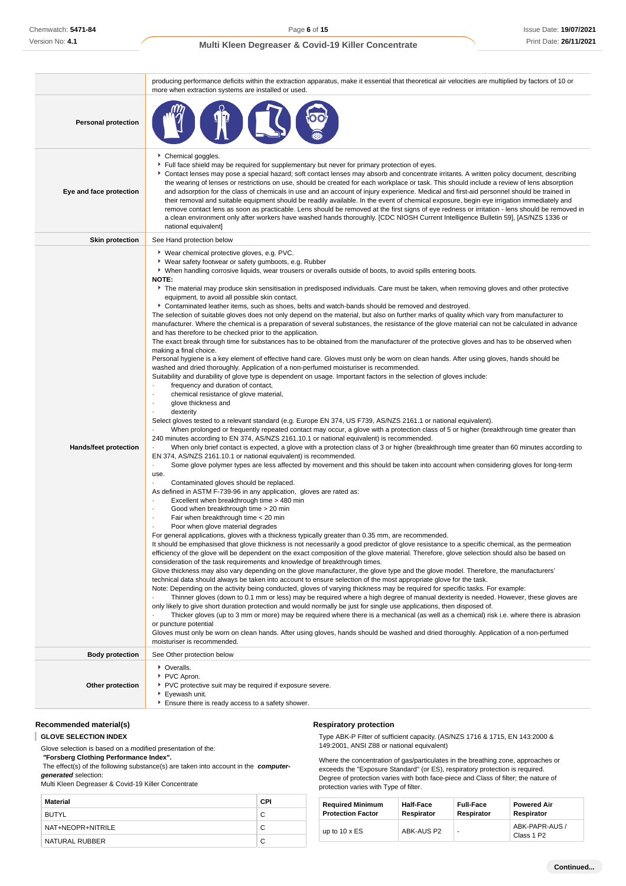|                            | producing performance deficits within the extraction apparatus, make it essential that theoretical air velocities are multiplied by factors of 10 or<br>more when extraction systems are installed or used.                                                                                                                                                                                                                                                                                                                                                                                                                                                                                                                                                                                                                                                                                                                                                                                                                                                                                                                                                                                                                                                                                                                                                                                                                                                                                                                                                                                                                                                                                                                                                                                                                                                                                                                                                                                                                                                                                                                                                                                                                                                                                                                                                                                                                                                                                                                                                                                                                                                                                                                                                                                                                                                                                                                                                                                                                                                                                                                                                                                                                                                                                                                                                                                                                                                                                                                                                                                                                                                                                                                                                                                                                                                                                                                                                                                                                                                                                                         |
|----------------------------|---------------------------------------------------------------------------------------------------------------------------------------------------------------------------------------------------------------------------------------------------------------------------------------------------------------------------------------------------------------------------------------------------------------------------------------------------------------------------------------------------------------------------------------------------------------------------------------------------------------------------------------------------------------------------------------------------------------------------------------------------------------------------------------------------------------------------------------------------------------------------------------------------------------------------------------------------------------------------------------------------------------------------------------------------------------------------------------------------------------------------------------------------------------------------------------------------------------------------------------------------------------------------------------------------------------------------------------------------------------------------------------------------------------------------------------------------------------------------------------------------------------------------------------------------------------------------------------------------------------------------------------------------------------------------------------------------------------------------------------------------------------------------------------------------------------------------------------------------------------------------------------------------------------------------------------------------------------------------------------------------------------------------------------------------------------------------------------------------------------------------------------------------------------------------------------------------------------------------------------------------------------------------------------------------------------------------------------------------------------------------------------------------------------------------------------------------------------------------------------------------------------------------------------------------------------------------------------------------------------------------------------------------------------------------------------------------------------------------------------------------------------------------------------------------------------------------------------------------------------------------------------------------------------------------------------------------------------------------------------------------------------------------------------------------------------------------------------------------------------------------------------------------------------------------------------------------------------------------------------------------------------------------------------------------------------------------------------------------------------------------------------------------------------------------------------------------------------------------------------------------------------------------------------------------------------------------------------------------------------------------------------------------------------------------------------------------------------------------------------------------------------------------------------------------------------------------------------------------------------------------------------------------------------------------------------------------------------------------------------------------------------------------------------------------------------------------------------------------------------------|
| <b>Personal protection</b> |                                                                                                                                                                                                                                                                                                                                                                                                                                                                                                                                                                                                                                                                                                                                                                                                                                                                                                                                                                                                                                                                                                                                                                                                                                                                                                                                                                                                                                                                                                                                                                                                                                                                                                                                                                                                                                                                                                                                                                                                                                                                                                                                                                                                                                                                                                                                                                                                                                                                                                                                                                                                                                                                                                                                                                                                                                                                                                                                                                                                                                                                                                                                                                                                                                                                                                                                                                                                                                                                                                                                                                                                                                                                                                                                                                                                                                                                                                                                                                                                                                                                                                                     |
| Eye and face protection    | Chemical goggles.<br>Full face shield may be required for supplementary but never for primary protection of eyes.<br>Contact lenses may pose a special hazard; soft contact lenses may absorb and concentrate irritants. A written policy document, describing<br>the wearing of lenses or restrictions on use, should be created for each workplace or task. This should include a review of lens absorption<br>and adsorption for the class of chemicals in use and an account of injury experience. Medical and first-aid personnel should be trained in<br>their removal and suitable equipment should be readily available. In the event of chemical exposure, begin eye irrigation immediately and<br>remove contact lens as soon as practicable. Lens should be removed at the first signs of eye redness or irritation - lens should be removed in<br>a clean environment only after workers have washed hands thoroughly. [CDC NIOSH Current Intelligence Bulletin 59], [AS/NZS 1336 or<br>national equivalent]                                                                                                                                                                                                                                                                                                                                                                                                                                                                                                                                                                                                                                                                                                                                                                                                                                                                                                                                                                                                                                                                                                                                                                                                                                                                                                                                                                                                                                                                                                                                                                                                                                                                                                                                                                                                                                                                                                                                                                                                                                                                                                                                                                                                                                                                                                                                                                                                                                                                                                                                                                                                                                                                                                                                                                                                                                                                                                                                                                                                                                                                                            |
| <b>Skin protection</b>     | See Hand protection below                                                                                                                                                                                                                                                                                                                                                                                                                                                                                                                                                                                                                                                                                                                                                                                                                                                                                                                                                                                                                                                                                                                                                                                                                                                                                                                                                                                                                                                                                                                                                                                                                                                                                                                                                                                                                                                                                                                                                                                                                                                                                                                                                                                                                                                                                                                                                                                                                                                                                                                                                                                                                                                                                                                                                                                                                                                                                                                                                                                                                                                                                                                                                                                                                                                                                                                                                                                                                                                                                                                                                                                                                                                                                                                                                                                                                                                                                                                                                                                                                                                                                           |
| Hands/feet protection      | ▶ Wear chemical protective gloves, e.g. PVC.<br>▶ Wear safety footwear or safety gumboots, e.g. Rubber<br>▶ When handling corrosive liquids, wear trousers or overalls outside of boots, to avoid spills entering boots.<br><b>NOTE:</b><br>The material may produce skin sensitisation in predisposed individuals. Care must be taken, when removing gloves and other protective<br>equipment, to avoid all possible skin contact.<br>▶ Contaminated leather items, such as shoes, belts and watch-bands should be removed and destroyed.<br>The selection of suitable gloves does not only depend on the material, but also on further marks of quality which vary from manufacturer to<br>manufacturer. Where the chemical is a preparation of several substances, the resistance of the glove material can not be calculated in advance<br>and has therefore to be checked prior to the application.<br>The exact break through time for substances has to be obtained from the manufacturer of the protective gloves and has to be observed when<br>making a final choice.<br>Personal hygiene is a key element of effective hand care. Gloves must only be worn on clean hands. After using gloves, hands should be<br>washed and dried thoroughly. Application of a non-perfumed moisturiser is recommended.<br>Suitability and durability of glove type is dependent on usage. Important factors in the selection of gloves include:<br>frequency and duration of contact,<br>chemical resistance of glove material,<br>glove thickness and<br>٠<br>dexterity<br>Select gloves tested to a relevant standard (e.g. Europe EN 374, US F739, AS/NZS 2161.1 or national equivalent).<br>When prolonged or frequently repeated contact may occur, a glove with a protection class of 5 or higher (breakthrough time greater than<br>240 minutes according to EN 374, AS/NZS 2161.10.1 or national equivalent) is recommended.<br>When only brief contact is expected, a glove with a protection class of 3 or higher (breakthrough time greater than 60 minutes according to<br>EN 374, AS/NZS 2161.10.1 or national equivalent) is recommended.<br>Some glove polymer types are less affected by movement and this should be taken into account when considering gloves for long-term<br>$\blacksquare$<br>use.<br>Contaminated gloves should be replaced.<br>As defined in ASTM F-739-96 in any application, gloves are rated as:<br>Excellent when breakthrough time > 480 min<br>Good when breakthrough time > 20 min<br>Fair when breakthrough time < 20 min<br>Poor when glove material degrades<br>For general applications, gloves with a thickness typically greater than 0.35 mm, are recommended.<br>It should be emphasised that glove thickness is not necessarily a good predictor of glove resistance to a specific chemical, as the permeation<br>efficiency of the glove will be dependent on the exact composition of the glove material. Therefore, glove selection should also be based on<br>consideration of the task requirements and knowledge of breakthrough times.<br>Glove thickness may also vary depending on the glove manufacturer, the glove type and the glove model. Therefore, the manufacturers'<br>technical data should always be taken into account to ensure selection of the most appropriate glove for the task.<br>Note: Depending on the activity being conducted, gloves of varying thickness may be required for specific tasks. For example:<br>Thinner gloves (down to 0.1 mm or less) may be required where a high degree of manual dexterity is needed. However, these gloves are<br>only likely to give short duration protection and would normally be just for single use applications, then disposed of.<br>Thicker gloves (up to 3 mm or more) may be required where there is a mechanical (as well as a chemical) risk i.e. where there is abrasion<br>or puncture potential<br>Gloves must only be worn on clean hands. After using gloves, hands should be washed and dried thoroughly. Application of a non-perfumed<br>moisturiser is recommended. |
| <b>Body protection</b>     | See Other protection below                                                                                                                                                                                                                                                                                                                                                                                                                                                                                                                                                                                                                                                                                                                                                                                                                                                                                                                                                                                                                                                                                                                                                                                                                                                                                                                                                                                                                                                                                                                                                                                                                                                                                                                                                                                                                                                                                                                                                                                                                                                                                                                                                                                                                                                                                                                                                                                                                                                                                                                                                                                                                                                                                                                                                                                                                                                                                                                                                                                                                                                                                                                                                                                                                                                                                                                                                                                                                                                                                                                                                                                                                                                                                                                                                                                                                                                                                                                                                                                                                                                                                          |
| Other protection           | • Overalls.<br>PVC Apron.<br>▶ PVC protective suit may be required if exposure severe.<br>▶ Eyewash unit.<br>Ensure there is ready access to a safety shower.                                                                                                                                                                                                                                                                                                                                                                                                                                                                                                                                                                                                                                                                                                                                                                                                                                                                                                                                                                                                                                                                                                                                                                                                                                                                                                                                                                                                                                                                                                                                                                                                                                                                                                                                                                                                                                                                                                                                                                                                                                                                                                                                                                                                                                                                                                                                                                                                                                                                                                                                                                                                                                                                                                                                                                                                                                                                                                                                                                                                                                                                                                                                                                                                                                                                                                                                                                                                                                                                                                                                                                                                                                                                                                                                                                                                                                                                                                                                                       |

# **Recommended material(s)**

#### ī **GLOVE SELECTION INDEX**

Glove selection is based on a modified presentation of the:

 **"Forsberg Clothing Performance Index".**

 The effect(s) of the following substance(s) are taken into account in the **computergenerated** selection:

Multi Kleen Degreaser & Covid-19 Killer Concentrate

| Material          | CPI |
|-------------------|-----|
| <b>BUTYL</b>      | C   |
| NAT+NEOPR+NITRILE | C   |
| NATURAL RUBBER    | C   |

## **Respiratory protection**

Type ABK-P Filter of sufficient capacity. (AS/NZS 1716 & 1715, EN 143:2000 & 149:2001, ANSI Z88 or national equivalent)

Where the concentration of gas/particulates in the breathing zone, approaches or exceeds the "Exposure Standard" (or ES), respiratory protection is required. Degree of protection varies with both face-piece and Class of filter; the nature of protection varies with Type of filter.

| <b>Required Minimum</b>  | <b>Half-Face</b> | <b>Full-Face</b> | <b>Powered Air</b>                       |
|--------------------------|------------------|------------------|------------------------------------------|
| <b>Protection Factor</b> | Respirator       | Respirator       | Respirator                               |
| up to $10 \times ES$     | ABK-AUS P2       | ٠                | ABK-PAPR-AUS /<br>Class 1 P <sub>2</sub> |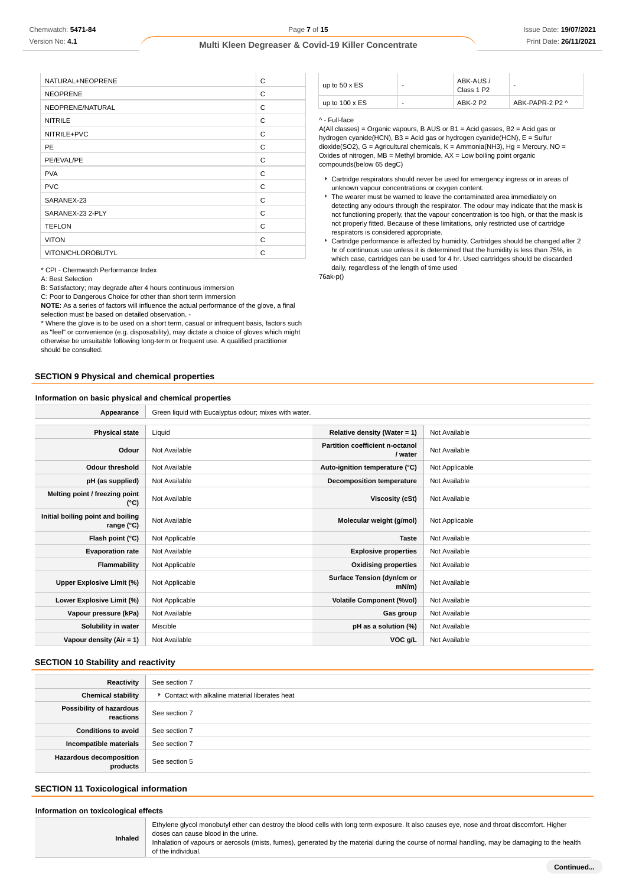| NATURAL+NEOPRENE  | C |
|-------------------|---|
| <b>NEOPRENE</b>   | C |
| NEOPRENE/NATURAL  | C |
| <b>NITRILE</b>    | C |
| NITRILE+PVC       | C |
| PE                | C |
| PE/EVAL/PE        | C |
| <b>PVA</b>        | C |
| <b>PVC</b>        | C |
| SARANEX-23        | C |
| SARANEX-23 2-PLY  | C |
| <b>TEFLON</b>     | C |
| <b>VITON</b>      | C |
| VITON/CHLOROBUTYL | C |

\* CPI - Chemwatch Performance Index

A: Best Selection

B: Satisfactory; may degrade after 4 hours continuous immersion

C: Poor to Dangerous Choice for other than short term immersion

**NOTE**: As a series of factors will influence the actual performance of the glove, a final selection must be based on detailed observation -

\* Where the glove is to be used on a short term, casual or infrequent basis, factors such as "feel" or convenience (e.g. disposability), may dictate a choice of gloves which might otherwise be unsuitable following long-term or frequent use. A qualified practitioner should be consulted.

#### **SECTION 9 Physical and chemical properties**

#### **Information on basic physical and chemical properties**

up to  $50 \times ES$ ABK-AUS / Class 1 P2 up to 100 x ES  $\begin{array}{|c|c|c|c|c|c|}\n\hline\n& & & \text{ABK-2 P2} & \text{ABK-PAPR-2 P2} \end{array}$ 

#### ^ - Full-face

A(All classes) = Organic vapours, B AUS or B1 = Acid gasses, B2 = Acid gas or hydrogen cyanide(HCN), B3 = Acid gas or hydrogen cyanide(HCN), E = Sulfur dioxide(SO2), G = Agricultural chemicals, K = Ammonia(NH3), Hg = Mercury, NO = Oxides of nitrogen,  $MB =$  Methyl bromide,  $AX =$  Low boiling point organic compounds(below 65 degC)

- Cartridge respirators should never be used for emergency ingress or in areas of unknown vapour concentrations or oxygen content.
- The wearer must be warned to leave the contaminated area immediately on detecting any odours through the respirator. The odour may indicate that the mask is not functioning properly, that the vapour concentration is too high, or that the mask is not properly fitted. Because of these limitations, only restricted use of cartridge respirators is considered appropriate.
- Cartridge performance is affected by humidity. Cartridges should be changed after 2 hr of continuous use unless it is determined that the humidity is less than 75%, in which case, cartridges can be used for 4 hr. Used cartridges should be discarded daily, regardless of the length of time used

76ak-p()

| Appearance                                      | Green liquid with Eucalyptus odour; mixes with water. |                                            |                |
|-------------------------------------------------|-------------------------------------------------------|--------------------------------------------|----------------|
|                                                 |                                                       |                                            |                |
| <b>Physical state</b>                           | Liquid                                                | Relative density (Water = 1)               | Not Available  |
| Odour                                           | Not Available                                         | Partition coefficient n-octanol<br>/ water | Not Available  |
| <b>Odour threshold</b>                          | Not Available                                         | Auto-ignition temperature (°C)             | Not Applicable |
| pH (as supplied)                                | Not Available                                         | <b>Decomposition temperature</b>           | Not Available  |
| Melting point / freezing point<br>(°C)          | Not Available                                         | Viscosity (cSt)                            | Not Available  |
| Initial boiling point and boiling<br>range (°C) | Not Available                                         | Molecular weight (g/mol)                   | Not Applicable |
| Flash point (°C)                                | Not Applicable                                        | <b>Taste</b>                               | Not Available  |
| <b>Evaporation rate</b>                         | Not Available                                         | <b>Explosive properties</b>                | Not Available  |
| Flammability                                    | Not Applicable                                        | <b>Oxidising properties</b>                | Not Available  |
| Upper Explosive Limit (%)                       | Not Applicable                                        | Surface Tension (dyn/cm or<br>$mN/m$ )     | Not Available  |
| Lower Explosive Limit (%)                       | Not Applicable                                        | <b>Volatile Component (%vol)</b>           | Not Available  |
| Vapour pressure (kPa)                           | Not Available                                         | Gas group                                  | Not Available  |
| Solubility in water                             | Miscible                                              | pH as a solution (%)                       | Not Available  |
| Vapour density (Air = 1)                        | Not Available                                         | VOC g/L                                    | Not Available  |

#### **SECTION 10 Stability and reactivity**

| Reactivity                                 | See section 7                                 |
|--------------------------------------------|-----------------------------------------------|
| <b>Chemical stability</b>                  | Contact with alkaline material liberates heat |
| Possibility of hazardous<br>reactions      | See section 7                                 |
| <b>Conditions to avoid</b>                 | See section 7                                 |
| Incompatible materials                     | See section 7                                 |
| <b>Hazardous decomposition</b><br>products | See section 5                                 |

## **SECTION 11 Toxicological information**

**Information on toxicological effects**

**Inhaled**

Ethylene glycol monobutyl ether can destroy the blood cells with long term exposure. It also causes eye, nose and throat discomfort. Higher doses can cause blood in the urine.

Inhalation of vapours or aerosols (mists, fumes), generated by the material during the course of normal handling, may be damaging to the health of the individual.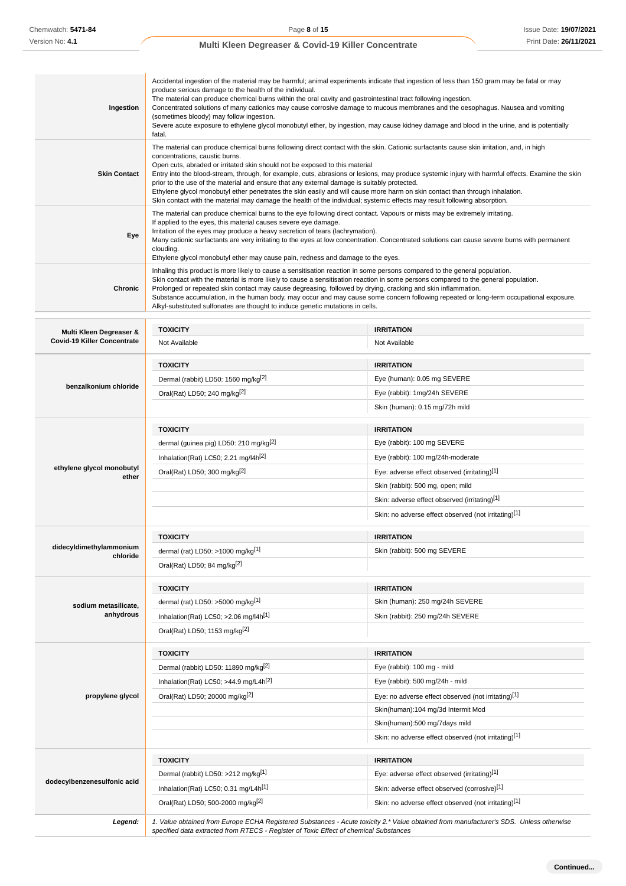| Ingestion                           | Accidental ingestion of the material may be harmful; animal experiments indicate that ingestion of less than 150 gram may be fatal or may<br>produce serious damage to the health of the individual.<br>The material can produce chemical burns within the oral cavity and gastrointestinal tract following ingestion.<br>Concentrated solutions of many cationics may cause corrosive damage to mucous membranes and the oesophagus. Nausea and vomiting<br>(sometimes bloody) may follow ingestion.<br>Severe acute exposure to ethylene glycol monobutyl ether, by ingestion, may cause kidney damage and blood in the urine, and is potentially<br>fatal.                                                                                                              |                                                                                                                                                                                                                                                                                                                                                                                                             |  |
|-------------------------------------|----------------------------------------------------------------------------------------------------------------------------------------------------------------------------------------------------------------------------------------------------------------------------------------------------------------------------------------------------------------------------------------------------------------------------------------------------------------------------------------------------------------------------------------------------------------------------------------------------------------------------------------------------------------------------------------------------------------------------------------------------------------------------|-------------------------------------------------------------------------------------------------------------------------------------------------------------------------------------------------------------------------------------------------------------------------------------------------------------------------------------------------------------------------------------------------------------|--|
| <b>Skin Contact</b>                 | The material can produce chemical burns following direct contact with the skin. Cationic surfactants cause skin irritation, and, in high<br>concentrations, caustic burns.<br>Open cuts, abraded or irritated skin should not be exposed to this material<br>Entry into the blood-stream, through, for example, cuts, abrasions or lesions, may produce systemic injury with harmful effects. Examine the skin<br>prior to the use of the material and ensure that any external damage is suitably protected.<br>Ethylene glycol monobutyl ether penetrates the skin easily and will cause more harm on skin contact than through inhalation.<br>Skin contact with the material may damage the health of the individual; systemic effects may result following absorption. |                                                                                                                                                                                                                                                                                                                                                                                                             |  |
| Eye                                 | The material can produce chemical burns to the eye following direct contact. Vapours or mists may be extremely irritating.<br>If applied to the eyes, this material causes severe eye damage.<br>Irritation of the eyes may produce a heavy secretion of tears (lachrymation).<br>Many cationic surfactants are very irritating to the eyes at low concentration. Concentrated solutions can cause severe burns with permanent<br>clouding.<br>Ethylene glycol monobutyl ether may cause pain, redness and damage to the eyes.                                                                                                                                                                                                                                             |                                                                                                                                                                                                                                                                                                                                                                                                             |  |
| Chronic                             | Prolonged or repeated skin contact may cause degreasing, followed by drying, cracking and skin inflammation.<br>Alkyl-substituted sulfonates are thought to induce genetic mutations in cells.                                                                                                                                                                                                                                                                                                                                                                                                                                                                                                                                                                             | Inhaling this product is more likely to cause a sensitisation reaction in some persons compared to the general population.<br>Skin contact with the material is more likely to cause a sensitisation reaction in some persons compared to the general population.<br>Substance accumulation, in the human body, may occur and may cause some concern following repeated or long-term occupational exposure. |  |
| Multi Kleen Degreaser &             | <b>TOXICITY</b>                                                                                                                                                                                                                                                                                                                                                                                                                                                                                                                                                                                                                                                                                                                                                            | <b>IRRITATION</b>                                                                                                                                                                                                                                                                                                                                                                                           |  |
| <b>Covid-19 Killer Concentrate</b>  | Not Available                                                                                                                                                                                                                                                                                                                                                                                                                                                                                                                                                                                                                                                                                                                                                              | Not Available                                                                                                                                                                                                                                                                                                                                                                                               |  |
|                                     |                                                                                                                                                                                                                                                                                                                                                                                                                                                                                                                                                                                                                                                                                                                                                                            |                                                                                                                                                                                                                                                                                                                                                                                                             |  |
|                                     | <b>TOXICITY</b><br>Dermal (rabbit) LD50: 1560 mg/kg <sup>[2]</sup>                                                                                                                                                                                                                                                                                                                                                                                                                                                                                                                                                                                                                                                                                                         | <b>IRRITATION</b><br>Eye (human): 0.05 mg SEVERE                                                                                                                                                                                                                                                                                                                                                            |  |
| benzalkonium chloride               | Oral(Rat) LD50; 240 mg/kg <sup>[2]</sup>                                                                                                                                                                                                                                                                                                                                                                                                                                                                                                                                                                                                                                                                                                                                   | Eye (rabbit): 1mg/24h SEVERE                                                                                                                                                                                                                                                                                                                                                                                |  |
|                                     |                                                                                                                                                                                                                                                                                                                                                                                                                                                                                                                                                                                                                                                                                                                                                                            | Skin (human): 0.15 mg/72h mild                                                                                                                                                                                                                                                                                                                                                                              |  |
|                                     |                                                                                                                                                                                                                                                                                                                                                                                                                                                                                                                                                                                                                                                                                                                                                                            |                                                                                                                                                                                                                                                                                                                                                                                                             |  |
|                                     | <b>TOXICITY</b>                                                                                                                                                                                                                                                                                                                                                                                                                                                                                                                                                                                                                                                                                                                                                            | <b>IRRITATION</b>                                                                                                                                                                                                                                                                                                                                                                                           |  |
|                                     | dermal (guinea pig) LD50: 210 mg/kg <sup>[2]</sup>                                                                                                                                                                                                                                                                                                                                                                                                                                                                                                                                                                                                                                                                                                                         | Eye (rabbit): 100 mg SEVERE                                                                                                                                                                                                                                                                                                                                                                                 |  |
| ethylene glycol monobutyl           | Inhalation(Rat) LC50; 2.21 mg/l4h <sup>[2]</sup>                                                                                                                                                                                                                                                                                                                                                                                                                                                                                                                                                                                                                                                                                                                           | Eye (rabbit): 100 mg/24h-moderate                                                                                                                                                                                                                                                                                                                                                                           |  |
| ether                               | Oral(Rat) LD50; 300 mg/kg <sup>[2]</sup>                                                                                                                                                                                                                                                                                                                                                                                                                                                                                                                                                                                                                                                                                                                                   | Eye: adverse effect observed (irritating)[1]                                                                                                                                                                                                                                                                                                                                                                |  |
|                                     |                                                                                                                                                                                                                                                                                                                                                                                                                                                                                                                                                                                                                                                                                                                                                                            | Skin (rabbit): 500 mg, open; mild                                                                                                                                                                                                                                                                                                                                                                           |  |
|                                     |                                                                                                                                                                                                                                                                                                                                                                                                                                                                                                                                                                                                                                                                                                                                                                            | Skin: adverse effect observed (irritating)[1]<br>Skin: no adverse effect observed (not irritating)[1]                                                                                                                                                                                                                                                                                                       |  |
|                                     |                                                                                                                                                                                                                                                                                                                                                                                                                                                                                                                                                                                                                                                                                                                                                                            |                                                                                                                                                                                                                                                                                                                                                                                                             |  |
|                                     | <b>TOXICITY</b>                                                                                                                                                                                                                                                                                                                                                                                                                                                                                                                                                                                                                                                                                                                                                            | <b>IRRITATION</b>                                                                                                                                                                                                                                                                                                                                                                                           |  |
| didecyldimethylammonium<br>chloride | dermal (rat) LD50: >1000 mg/kg $^{[1]}$                                                                                                                                                                                                                                                                                                                                                                                                                                                                                                                                                                                                                                                                                                                                    | Skin (rabbit): 500 mg SEVERE                                                                                                                                                                                                                                                                                                                                                                                |  |
|                                     | Oral(Rat) LD50; 84 mg/kg <sup>[2]</sup>                                                                                                                                                                                                                                                                                                                                                                                                                                                                                                                                                                                                                                                                                                                                    |                                                                                                                                                                                                                                                                                                                                                                                                             |  |
|                                     | <b>TOXICITY</b>                                                                                                                                                                                                                                                                                                                                                                                                                                                                                                                                                                                                                                                                                                                                                            | <b>IRRITATION</b>                                                                                                                                                                                                                                                                                                                                                                                           |  |
| sodium metasilicate,                | dermal (rat) LD50: >5000 mg/kg <sup>[1]</sup>                                                                                                                                                                                                                                                                                                                                                                                                                                                                                                                                                                                                                                                                                                                              | Skin (human): 250 mg/24h SEVERE                                                                                                                                                                                                                                                                                                                                                                             |  |
| anhydrous                           | Inhalation(Rat) LC50; $>2.06$ mg/l4h <sup>[1]</sup>                                                                                                                                                                                                                                                                                                                                                                                                                                                                                                                                                                                                                                                                                                                        | Skin (rabbit): 250 mg/24h SEVERE                                                                                                                                                                                                                                                                                                                                                                            |  |
|                                     | Oral(Rat) LD50; 1153 mg/kg <sup>[2]</sup>                                                                                                                                                                                                                                                                                                                                                                                                                                                                                                                                                                                                                                                                                                                                  |                                                                                                                                                                                                                                                                                                                                                                                                             |  |
|                                     |                                                                                                                                                                                                                                                                                                                                                                                                                                                                                                                                                                                                                                                                                                                                                                            |                                                                                                                                                                                                                                                                                                                                                                                                             |  |
|                                     | <b>TOXICITY</b>                                                                                                                                                                                                                                                                                                                                                                                                                                                                                                                                                                                                                                                                                                                                                            | <b>IRRITATION</b>                                                                                                                                                                                                                                                                                                                                                                                           |  |
|                                     | Dermal (rabbit) LD50: 11890 mg/kg <sup>[2]</sup>                                                                                                                                                                                                                                                                                                                                                                                                                                                                                                                                                                                                                                                                                                                           | Eye (rabbit): 100 mg - mild<br>Eye (rabbit): 500 mg/24h - mild                                                                                                                                                                                                                                                                                                                                              |  |
| propylene glycol                    | Inhalation(Rat) LC50; >44.9 mg/L4h <sup>[2]</sup><br>Oral(Rat) LD50; 20000 mg/kg <sup>[2]</sup>                                                                                                                                                                                                                                                                                                                                                                                                                                                                                                                                                                                                                                                                            | Eye: no adverse effect observed (not irritating)[1]                                                                                                                                                                                                                                                                                                                                                         |  |
|                                     |                                                                                                                                                                                                                                                                                                                                                                                                                                                                                                                                                                                                                                                                                                                                                                            | Skin(human):104 mg/3d Intermit Mod                                                                                                                                                                                                                                                                                                                                                                          |  |
|                                     |                                                                                                                                                                                                                                                                                                                                                                                                                                                                                                                                                                                                                                                                                                                                                                            | Skin(human):500 mg/7days mild                                                                                                                                                                                                                                                                                                                                                                               |  |
|                                     |                                                                                                                                                                                                                                                                                                                                                                                                                                                                                                                                                                                                                                                                                                                                                                            | Skin: no adverse effect observed (not irritating)[1]                                                                                                                                                                                                                                                                                                                                                        |  |
|                                     |                                                                                                                                                                                                                                                                                                                                                                                                                                                                                                                                                                                                                                                                                                                                                                            |                                                                                                                                                                                                                                                                                                                                                                                                             |  |
|                                     | <b>TOXICITY</b>                                                                                                                                                                                                                                                                                                                                                                                                                                                                                                                                                                                                                                                                                                                                                            | <b>IRRITATION</b>                                                                                                                                                                                                                                                                                                                                                                                           |  |
| dodecylbenzenesulfonic acid         | Dermal (rabbit) LD50: >212 mg/kg[1]                                                                                                                                                                                                                                                                                                                                                                                                                                                                                                                                                                                                                                                                                                                                        | Eye: adverse effect observed (irritating)[1]                                                                                                                                                                                                                                                                                                                                                                |  |
|                                     | Inhalation(Rat) LC50; 0.31 mg/L4h <sup>[1]</sup>                                                                                                                                                                                                                                                                                                                                                                                                                                                                                                                                                                                                                                                                                                                           | Skin: adverse effect observed (corrosive)[1]                                                                                                                                                                                                                                                                                                                                                                |  |
|                                     | Oral(Rat) LD50; 500-2000 mg/kg <sup>[2]</sup>                                                                                                                                                                                                                                                                                                                                                                                                                                                                                                                                                                                                                                                                                                                              | Skin: no adverse effect observed (not irritating)[1]                                                                                                                                                                                                                                                                                                                                                        |  |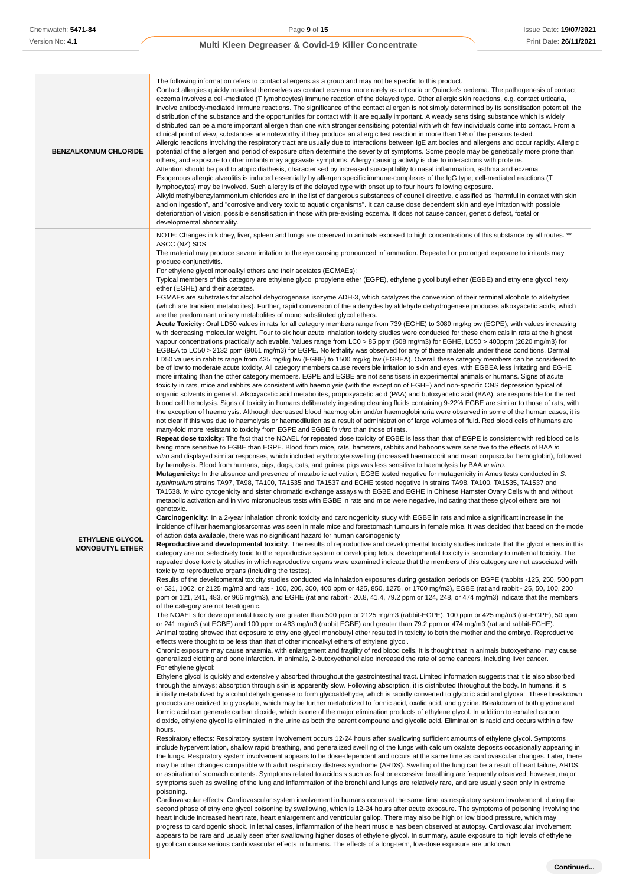| <b>BENZALKONIUM CHLORIDE</b>                     | The following information refers to contact allergens as a group and may not be specific to this product.<br>Contact allergies quickly manifest themselves as contact eczema, more rarely as urticaria or Quincke's oedema. The pathogenesis of contact<br>eczema involves a cell-mediated (T lymphocytes) immune reaction of the delayed type. Other allergic skin reactions, e.g. contact urticaria,<br>involve antibody-mediated immune reactions. The significance of the contact allergen is not simply determined by its sensitisation potential: the<br>distribution of the substance and the opportunities for contact with it are equally important. A weakly sensitising substance which is widely<br>distributed can be a more important allergen than one with stronger sensitising potential with which few individuals come into contact. From a<br>clinical point of view, substances are noteworthy if they produce an allergic test reaction in more than 1% of the persons tested.<br>Allergic reactions involving the respiratory tract are usually due to interactions between IgE antibodies and allergens and occur rapidly. Allergic<br>potential of the allergen and period of exposure often determine the severity of symptoms. Some people may be genetically more prone than<br>others, and exposure to other irritants may aggravate symptoms. Allergy causing activity is due to interactions with proteins.<br>Attention should be paid to atopic diathesis, characterised by increased susceptibility to nasal inflammation, asthma and eczema.<br>Exogenous allergic alveolitis is induced essentially by allergen specific immune-complexes of the IgG type; cell-mediated reactions (T<br>lymphocytes) may be involved. Such allergy is of the delayed type with onset up to four hours following exposure.<br>Alkyldimethylbenzylammonium chlorides are in the list of dangerous substances of council directive, classified as "harmful in contact with skin<br>and on ingestion", and "corrosive and very toxic to aquatic organisms". It can cause dose dependent skin and eye irritation with possible<br>deterioration of vision, possible sensitisation in those with pre-existing eczema. It does not cause cancer, genetic defect, foetal or<br>developmental abnormality.                                                                                                                                                                                                                                                                                                                                                                                                                                                                                                                                                                                                                                                                                                                                                                                                                                                                                                                                                                                                                                                                                                                                                                                                                                                                                                                                                                                                                                                                                                                                                                                                                                                                                                                                                                                                                                                                                                                                                                                                                                                                                                                                                                                                                                                                                                                                                                                                                                                                                                                                                                                                                                                                                                                                                                                                                                                                                                                                                                                                                                                                                                                                                                                                                                                                                                                                                                                                                                                                                                                                                                                                                                                                                                                                                                                                                                                                                                                                                                                                                                                                                                                                                                                                                                                                                                                                                                                                                                                                                                                                                                                                                                                                                                                                                                                                                                                                                                                                                                                                                                                                                                                                                                                                                                                                                                                                                                                                                                                                                                                                                                                                                                                                                                                                                                                                                                                                                                                                                                                                                                                                                                                                                                                                                                                                                                                                                                                                                                                                                                                                                      |
|--------------------------------------------------|-----------------------------------------------------------------------------------------------------------------------------------------------------------------------------------------------------------------------------------------------------------------------------------------------------------------------------------------------------------------------------------------------------------------------------------------------------------------------------------------------------------------------------------------------------------------------------------------------------------------------------------------------------------------------------------------------------------------------------------------------------------------------------------------------------------------------------------------------------------------------------------------------------------------------------------------------------------------------------------------------------------------------------------------------------------------------------------------------------------------------------------------------------------------------------------------------------------------------------------------------------------------------------------------------------------------------------------------------------------------------------------------------------------------------------------------------------------------------------------------------------------------------------------------------------------------------------------------------------------------------------------------------------------------------------------------------------------------------------------------------------------------------------------------------------------------------------------------------------------------------------------------------------------------------------------------------------------------------------------------------------------------------------------------------------------------------------------------------------------------------------------------------------------------------------------------------------------------------------------------------------------------------------------------------------------------------------------------------------------------------------------------------------------------------------------------------------------------------------------------------------------------------------------------------------------------------------------------------------------------------------------------------------------------------------------------------------------------------------------------------------------------------------------------------------------------------------------------------------------------------------------------------------------------------------------------------------------------------------------------------------------------------------------------------------------------------------------------------------------------------------------------------------------------------------------------------------------------------------------------------------------------------------------------------------------------------------------------------------------------------------------------------------------------------------------------------------------------------------------------------------------------------------------------------------------------------------------------------------------------------------------------------------------------------------------------------------------------------------------------------------------------------------------------------------------------------------------------------------------------------------------------------------------------------------------------------------------------------------------------------------------------------------------------------------------------------------------------------------------------------------------------------------------------------------------------------------------------------------------------------------------------------------------------------------------------------------------------------------------------------------------------------------------------------------------------------------------------------------------------------------------------------------------------------------------------------------------------------------------------------------------------------------------------------------------------------------------------------------------------------------------------------------------------------------------------------------------------------------------------------------------------------------------------------------------------------------------------------------------------------------------------------------------------------------------------------------------------------------------------------------------------------------------------------------------------------------------------------------------------------------------------------------------------------------------------------------------------------------------------------------------------------------------------------------------------------------------------------------------------------------------------------------------------------------------------------------------------------------------------------------------------------------------------------------------------------------------------------------------------------------------------------------------------------------------------------------------------------------------------------------------------------------------------------------------------------------------------------------------------------------------------------------------------------------------------------------------------------------------------------------------------------------------------------------------------------------------------------------------------------------------------------------------------------------------------------------------------------------------------------------------------------------------------------------------------------------------------------------------------------------------------------------------------------------------------------------------------------------------------------------------------------------------------------------------------------------------------------------------------------------------------------------------------------------------------------------------------------------------------------------------------------------------------------------------------------------------------------------------------------------------------------------------------------------------------------------------------------------------------------------------------------------------------------------------------------------------------------------------------------------------------------------------------------------------------------------------------------------------------------------------------------------------------------------------------------------------------------------------------------------------------------------------------------------------------------------------------------------------------------------------------------------------------------------------------------------------------------------------------------------------------------------------------------------------------------------------------------------------------------------------------------------------------------------------------------------------------------------------------------------------------------------------------------------------------------------------------------------------------------------------------------------------------------------------------------------------------------------------------------------------------------------------------------------------------------------------------------------------------------------------------------------------------------------------------------------------------------------------------------------------------------------------------------------------------------------------------------------------------------------------------------------------------------------------------------------------------------------------------------------------------------------------------------------------------------------------------------------------------------------|
| <b>ETHYLENE GLYCOL</b><br><b>MONOBUTYL ETHER</b> | NOTE: Changes in kidney, liver, spleen and lungs are observed in animals exposed to high concentrations of this substance by all routes. **<br>ASCC (NZ) SDS<br>The material may produce severe irritation to the eye causing pronounced inflammation. Repeated or prolonged exposure to irritants may<br>produce conjunctivitis.<br>For ethylene glycol monoalkyl ethers and their acetates (EGMAEs):<br>Typical members of this category are ethylene glycol propylene ether (EGPE), ethylene glycol butyl ether (EGBE) and ethylene glycol hexyl<br>ether (EGHE) and their acetates.<br>EGMAEs are substrates for alcohol dehydrogenase isozyme ADH-3, which catalyzes the conversion of their terminal alcohols to aldehydes<br>(which are transient metabolites). Further, rapid conversion of the aldehydes by aldehyde dehydrogenase produces alkoxyacetic acids, which<br>are the predominant urinary metabolites of mono substituted glycol ethers.<br>Acute Toxicity: Oral LD50 values in rats for all category members range from 739 (EGHE) to 3089 mg/kg bw (EGPE), with values increasing<br>with decreasing molecular weight. Four to six hour acute inhalation toxicity studies were conducted for these chemicals in rats at the highest<br>vapour concentrations practically achievable. Values range from LC0 > 85 ppm (508 mg/m3) for EGHE, LC50 > 400ppm (2620 mg/m3) for<br>EGBEA to LC50 > 2132 ppm (9061 mg/m3) for EGPE. No lethality was observed for any of these materials under these conditions. Dermal<br>LD50 values in rabbits range from 435 mg/kg bw (EGBE) to 1500 mg/kg bw (EGBEA). Overall these category members can be considered to<br>be of low to moderate acute toxicity. All category members cause reversible irritation to skin and eyes, with EGBEA less irritating and EGHE<br>more irritating than the other category members. EGPE and EGBE are not sensitisers in experimental animals or humans. Signs of acute<br>toxicity in rats, mice and rabbits are consistent with haemolysis (with the exception of EGHE) and non-specific CNS depression typical of<br>organic solvents in general. Alkoxyacetic acid metabolites, propoxyacetic acid (PAA) and butoxyacetic acid (BAA), are responsible for the red<br>blood cell hemolysis. Signs of toxicity in humans deliberately ingesting cleaning fluids containing 9-22% EGBE are similar to those of rats, with<br>the exception of haemolysis. Although decreased blood haemoglobin and/or haemoglobinuria were observed in some of the human cases, it is<br>not clear if this was due to haemolysis or haemodilution as a result of administration of large volumes of fluid. Red blood cells of humans are<br>many-fold more resistant to toxicity from EGPE and EGBE in vitro than those of rats.<br>Repeat dose toxicity: The fact that the NOAEL for repeated dose toxicity of EGBE is less than that of EGPE is consistent with red blood cells<br>being more sensitive to EGBE than EGPE. Blood from mice, rats, hamsters, rabbits and baboons were sensitive to the effects of BAA in<br>vitro and displayed similar responses, which included erythrocyte swelling (increased haematocrit and mean corpuscular hemoglobin), followed<br>by hemolysis. Blood from humans, pigs, dogs, cats, and guinea pigs was less sensitive to haemolysis by BAA in vitro.<br>Mutagenicity: In the absence and presence of metabolic activation, EGBE tested negative for mutagenicity in Ames tests conducted in S.<br>typhimurium strains TA97, TA98, TA100, TA1535 and TA1537 and EGHE tested negative in strains TA98, TA100, TA1535, TA1537 and<br>TA1538. In vitro cytogenicity and sister chromatid exchange assays with EGBE and EGHE in Chinese Hamster Ovary Cells with and without<br>metabolic activation and in vivo micronucleus tests with EGBE in rats and mice were negative, indicating that these glycol ethers are not<br>genotoxic.<br>Carcinogenicity: In a 2-year inhalation chronic toxicity and carcinogenicity study with EGBE in rats and mice a significant increase in the<br>incidence of liver haemangiosarcomas was seen in male mice and forestomach tumours in female mice. It was decided that based on the mode<br>of action data available, there was no significant hazard for human carcinogenicity<br>Reproductive and developmental toxicity. The results of reproductive and developmental toxicity studies indicate that the glycol ethers in this<br>category are not selectively toxic to the reproductive system or developing fetus, developmental toxicity is secondary to maternal toxicity. The<br>repeated dose toxicity studies in which reproductive organs were examined indicate that the members of this category are not associated with<br>toxicity to reproductive organs (including the testes).<br>Results of the developmental toxicity studies conducted via inhalation exposures during gestation periods on EGPE (rabbits -125, 250, 500 ppm<br>or 531, 1062, or 2125 mg/m3 and rats - 100, 200, 300, 400 ppm or 425, 850, 1275, or 1700 mg/m3), EGBE (rat and rabbit - 25, 50, 100, 200<br>ppm or 121, 241, 483, or 966 mg/m3), and EGHE (rat and rabbit - 20.8, 41.4, 79.2 ppm or 124, 248, or 474 mg/m3) indicate that the members<br>of the category are not teratogenic.<br>The NOAELs for developmental toxicity are greater than 500 ppm or 2125 mg/m3 (rabbit-EGPE), 100 ppm or 425 mg/m3 (rat-EGPE), 50 ppm<br>or 241 mg/m3 (rat EGBE) and 100 ppm or 483 mg/m3 (rabbit EGBE) and greater than 79.2 ppm or 474 mg/m3 (rat and rabbit-EGHE).<br>Animal testing showed that exposure to ethylene glycol monobutyl ether resulted in toxicity to both the mother and the embryo. Reproductive<br>effects were thought to be less than that of other monoalkyl ethers of ethylene glycol.<br>Chronic exposure may cause anaemia, with enlargement and fragility of red blood cells. It is thought that in animals butoxyethanol may cause<br>generalized clotting and bone infarction. In animals, 2-butoxyethanol also increased the rate of some cancers, including liver cancer.<br>For ethylene glycol:<br>Ethylene glycol is quickly and extensively absorbed throughout the gastrointestinal tract. Limited information suggests that it is also absorbed<br>through the airways; absorption through skin is apparently slow. Following absorption, it is distributed throughout the body. In humans, it is<br>initially metabolized by alcohol dehydrogenase to form glycoaldehyde, which is rapidly converted to glycolic acid and glyoxal. These breakdown<br>products are oxidized to glyoxylate, which may be further metabolized to formic acid, oxalic acid, and glycine. Breakdown of both glycine and<br>formic acid can generate carbon dioxide, which is one of the major elimination products of ethylene glycol. In addition to exhaled carbon<br>dioxide, ethylene glycol is eliminated in the urine as both the parent compound and glycolic acid. Elimination is rapid and occurs within a few<br>hours.<br>Respiratory effects: Respiratory system involvement occurs 12-24 hours after swallowing sufficient amounts of ethylene glycol. Symptoms<br>include hyperventilation, shallow rapid breathing, and generalized swelling of the lungs with calcium oxalate deposits occasionally appearing in<br>the lungs. Respiratory system involvement appears to be dose-dependent and occurs at the same time as cardiovascular changes. Later, there<br>may be other changes compatible with adult respiratory distress syndrome (ARDS). Swelling of the lung can be a result of heart failure, ARDS,<br>or aspiration of stomach contents. Symptoms related to acidosis such as fast or excessive breathing are frequently observed; however, major<br>symptoms such as swelling of the lung and inflammation of the bronchi and lungs are relatively rare, and are usually seen only in extreme<br>poisoning.<br>Cardiovascular effects: Cardiovascular system involvement in humans occurs at the same time as respiratory system involvement, during the<br>second phase of ethylene glycol poisoning by swallowing, which is 12-24 hours after acute exposure. The symptoms of poisoning involving the<br>heart include increased heart rate, heart enlargement and ventricular gallop. There may also be high or low blood pressure, which may<br>progress to cardiogenic shock. In lethal cases, inflammation of the heart muscle has been observed at autopsy. Cardiovascular involvement<br>appears to be rare and usually seen after swallowing higher doses of ethylene glycol. In summary, acute exposure to high levels of ethylene<br>glycol can cause serious cardiovascular effects in humans. The effects of a long-term, low-dose exposure are unknown. |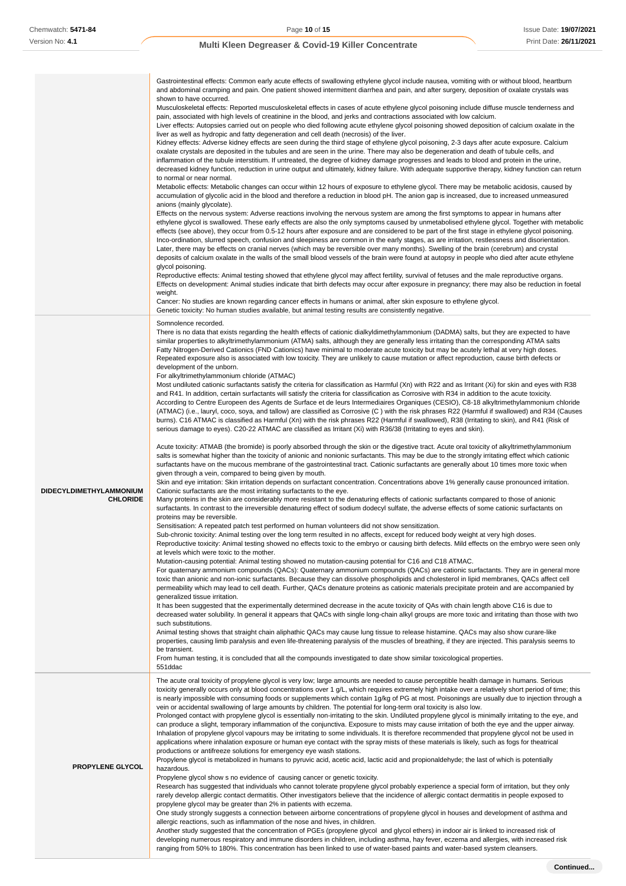|                                            | Gastrointestinal effects: Common early acute effects of swallowing ethylene glycol include nausea, vomiting with or without blood, heartburn<br>and abdominal cramping and pain. One patient showed intermittent diarrhea and pain, and after surgery, deposition of oxalate crystals was<br>shown to have occurred.<br>Musculoskeletal effects: Reported musculoskeletal effects in cases of acute ethylene glycol poisoning include diffuse muscle tenderness and<br>pain, associated with high levels of creatinine in the blood, and jerks and contractions associated with low calcium.<br>Liver effects: Autopsies carried out on people who died following acute ethylene glycol poisoning showed deposition of calcium oxalate in the<br>liver as well as hydropic and fatty degeneration and cell death (necrosis) of the liver.<br>Kidney effects: Adverse kidney effects are seen during the third stage of ethylene glycol poisoning, 2-3 days after acute exposure. Calcium<br>oxalate crystals are deposited in the tubules and are seen in the urine. There may also be degeneration and death of tubule cells, and<br>inflammation of the tubule interstitium. If untreated, the degree of kidney damage progresses and leads to blood and protein in the urine,<br>decreased kidney function, reduction in urine output and ultimately, kidney failure. With adequate supportive therapy, kidney function can return<br>to normal or near normal.<br>Metabolic effects: Metabolic changes can occur within 12 hours of exposure to ethylene glycol. There may be metabolic acidosis, caused by<br>accumulation of glycolic acid in the blood and therefore a reduction in blood pH. The anion gap is increased, due to increased unmeasured<br>anions (mainly glycolate).<br>Effects on the nervous system: Adverse reactions involving the nervous system are among the first symptoms to appear in humans after<br>ethylene glycol is swallowed. These early effects are also the only symptoms caused by unmetabolised ethylene glycol. Together with metabolic<br>effects (see above), they occur from 0.5-12 hours after exposure and are considered to be part of the first stage in ethylene glycol poisoning.<br>Inco-ordination, slurred speech, confusion and sleepiness are common in the early stages, as are irritation, restlessness and disorientation.<br>Later, there may be effects on cranial nerves (which may be reversible over many months). Swelling of the brain (cerebrum) and crystal<br>deposits of calcium oxalate in the walls of the small blood vessels of the brain were found at autopsy in people who died after acute ethylene<br>glycol poisoning.<br>Reproductive effects: Animal testing showed that ethylene glycol may affect fertility, survival of fetuses and the male reproductive organs.<br>Effects on development: Animal studies indicate that birth defects may occur after exposure in pregnancy; there may also be reduction in foetal<br>weight.<br>Cancer: No studies are known regarding cancer effects in humans or animal, after skin exposure to ethylene glycol.<br>Genetic toxicity: No human studies available, but animal testing results are consistently negative.                                                                                                                                                                                                                                                                                                                                                                                                                                                                                                                                                                                                                                                                                                                                                                                                                                                                                                                                                                                                                                                                                                                                                                          |
|--------------------------------------------|------------------------------------------------------------------------------------------------------------------------------------------------------------------------------------------------------------------------------------------------------------------------------------------------------------------------------------------------------------------------------------------------------------------------------------------------------------------------------------------------------------------------------------------------------------------------------------------------------------------------------------------------------------------------------------------------------------------------------------------------------------------------------------------------------------------------------------------------------------------------------------------------------------------------------------------------------------------------------------------------------------------------------------------------------------------------------------------------------------------------------------------------------------------------------------------------------------------------------------------------------------------------------------------------------------------------------------------------------------------------------------------------------------------------------------------------------------------------------------------------------------------------------------------------------------------------------------------------------------------------------------------------------------------------------------------------------------------------------------------------------------------------------------------------------------------------------------------------------------------------------------------------------------------------------------------------------------------------------------------------------------------------------------------------------------------------------------------------------------------------------------------------------------------------------------------------------------------------------------------------------------------------------------------------------------------------------------------------------------------------------------------------------------------------------------------------------------------------------------------------------------------------------------------------------------------------------------------------------------------------------------------------------------------------------------------------------------------------------------------------------------------------------------------------------------------------------------------------------------------------------------------------------------------------------------------------------------------------------------------------------------------------------------------------------------------------------------------------------------------------------------------------------------------------------------------------------------------------------------------------------------------------------------------------------------------------------------------------------------------------------------------------------------------------------------------------------------------------------------------------------------------------------------------------------------------------------------------------------------------------------------------------------------------------------------------------------------------------------------------------------------------------------------------------------------------------------------------------------------------------------------------------------------------------------------------------------------------------------------------------------------------------------------------------------------------------------------------------------------------------------------------------------------------------------------------------------------------------------------------------------------------------------------------------------------------------------------------------------------------------------------------------------------------------------|
| DIDECYLDIMETHYLAMMONIUM<br><b>CHLORIDE</b> | Somnolence recorded.<br>There is no data that exists regarding the health effects of cationic dialkyldimethylammonium (DADMA) salts, but they are expected to have<br>similar properties to alkyltrimethylammonium (ATMA) salts, although they are generally less irritating than the corresponding ATMA salts<br>Fatty Nitrogen-Derived Cationics (FND Cationics) have minimal to moderate acute toxicity but may be acutely lethal at very high doses.<br>Repeated exposure also is associated with low toxicity. They are unlikely to cause mutation or affect reproduction, cause birth defects or<br>development of the unborn.<br>For alkyltrimethylammonium chloride (ATMAC)<br>Most undiluted cationic surfactants satisfy the criteria for classification as Harmful (Xn) with R22 and as Irritant (Xi) for skin and eyes with R38<br>and R41. In addition, certain surfactants will satisfy the criteria for classification as Corrosive with R34 in addition to the acute toxicity.<br>According to Centre Europeen des Agents de Surface et de leurs Intermediaires Organiques (CESIO), C8-18 alkyltrimethylammonium chloride<br>(ATMAC) (i.e., lauryl, coco, soya, and tallow) are classified as Corrosive (C) with the risk phrases R22 (Harmful if swallowed) and R34 (Causes<br>burns). C16 ATMAC is classified as Harmful (Xn) with the risk phrases R22 (Harmful if swallowed), R38 (Irritating to skin), and R41 (Risk of<br>serious damage to eyes). C20-22 ATMAC are classified as Irritant (Xi) with R36/38 (Irritating to eyes and skin).<br>Acute toxicity: ATMAB (the bromide) is poorly absorbed through the skin or the digestive tract. Acute oral toxicity of alkyltrimethylammonium<br>salts is somewhat higher than the toxicity of anionic and nonionic surfactants. This may be due to the strongly irritating effect which cationic<br>surfactants have on the mucous membrane of the gastrointestinal tract. Cationic surfactants are generally about 10 times more toxic when<br>given through a vein, compared to being given by mouth.<br>Skin and eye irritation: Skin irritation depends on surfactant concentration. Concentrations above 1% generally cause pronounced irritation.<br>Cationic surfactants are the most irritating surfactants to the eye.<br>Many proteins in the skin are considerably more resistant to the denaturing effects of cationic surfactants compared to those of anionic<br>surfactants. In contrast to the irreversible denaturing effect of sodium dodecyl sulfate, the adverse effects of some cationic surfactants on<br>proteins may be reversible.<br>Sensitisation: A repeated patch test performed on human volunteers did not show sensitization.<br>Sub-chronic toxicity: Animal testing over the long term resulted in no affects, except for reduced body weight at very high doses.<br>Reproductive toxicity: Animal testing showed no effects toxic to the embryo or causing birth defects. Mild effects on the embryo were seen only<br>at levels which were toxic to the mother.<br>Mutation-causing potential: Animal testing showed no mutation-causing potential for C16 and C18 ATMAC.<br>For quaternary ammonium compounds (QACs): Quaternary ammonium compounds (QACs) are cationic surfactants. They are in general more<br>toxic than anionic and non-ionic surfactants. Because they can dissolve phospholipids and cholesterol in lipid membranes, QACs affect cell<br>permeability which may lead to cell death. Further, QACs denature proteins as cationic materials precipitate protein and are accompanied by<br>generalized tissue irritation.<br>It has been suggested that the experimentally determined decrease in the acute toxicity of QAs with chain length above C16 is due to<br>decreased water solubility. In general it appears that QACs with single long-chain alkyl groups are more toxic and irritating than those with two<br>such substitutions.<br>Animal testing shows that straight chain aliphathic QACs may cause lung tissue to release histamine. QACs may also show curare-like<br>properties, causing limb paralysis and even life-threatening paralysis of the muscles of breathing, if they are injected. This paralysis seems to<br>be transient.<br>From human testing, it is concluded that all the compounds investigated to date show similar toxicological properties.<br>551ddac |
| PROPYLENE GLYCOL                           | The acute oral toxicity of propylene glycol is very low; large amounts are needed to cause perceptible health damage in humans. Serious<br>toxicity generally occurs only at blood concentrations over 1 g/L, which requires extremely high intake over a relatively short period of time; this<br>is nearly impossible with consuming foods or supplements which contain 1g/kg of PG at most. Poisonings are usually due to injection through a<br>vein or accidental swallowing of large amounts by children. The potential for long-term oral toxicity is also low.<br>Prolonged contact with propylene glycol is essentially non-irritating to the skin. Undiluted propylene glycol is minimally irritating to the eye, and<br>can produce a slight, temporary inflammation of the conjunctiva. Exposure to mists may cause irritation of both the eye and the upper airway.<br>Inhalation of propylene glycol vapours may be irritating to some individuals. It is therefore recommended that propylene glycol not be used in<br>applications where inhalation exposure or human eye contact with the spray mists of these materials is likely, such as fogs for theatrical<br>productions or antifreeze solutions for emergency eye wash stations.<br>Propylene glycol is metabolized in humans to pyruvic acid, acetic acid, lactic acid and propionaldehyde; the last of which is potentially<br>hazardous.<br>Propylene glycol show s no evidence of causing cancer or genetic toxicity.<br>Research has suggested that individuals who cannot tolerate propylene glycol probably experience a special form of irritation, but they only<br>rarely develop allergic contact dermatitis. Other investigators believe that the incidence of allergic contact dermatitis in people exposed to<br>propylene glycol may be greater than 2% in patients with eczema.<br>One study strongly suggests a connection between airborne concentrations of propylene glycol in houses and development of asthma and<br>allergic reactions, such as inflammation of the nose and hives, in children.<br>Another study suggested that the concentration of PGEs (propylene glycol and glycol ethers) in indoor air is linked to increased risk of<br>developing numerous respiratory and immune disorders in children, including asthma, hay fever, eczema and allergies, with increased risk                                                                                                                                                                                                                                                                                                                                                                                                                                                                                                                                                                                                                                                                                                                                                                                                                                                                                                                                                                                                                                                                                                                                                                                                                                                                                                                                                                                                                                                                                                                                                                                                                                                                                                                                                                                                                                                                                                                                                                                                                                      |

ranging from 50% to 180%. This concentration has been linked to use of water-based paints and water-based system cleansers.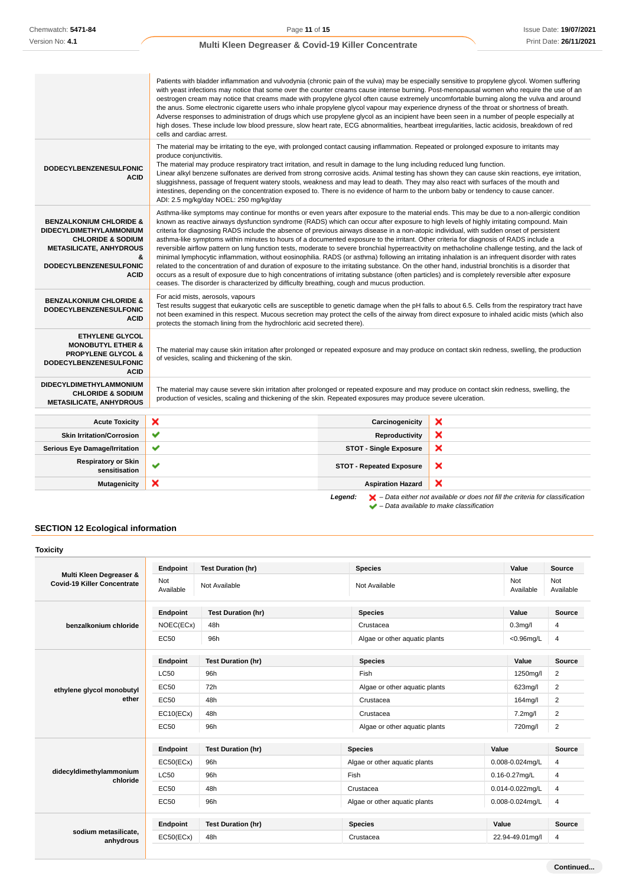|                                                                                                                                                                                             | Patients with bladder inflammation and vulvodynia (chronic pain of the vulva) may be especially sensitive to propylene glycol. Women suffering<br>with yeast infections may notice that some over the counter creams cause intense burning. Post-menopausal women who require the use of an<br>oestrogen cream may notice that creams made with propylene glycol often cause extremely uncomfortable burning along the vulva and around<br>the anus. Some electronic cigarette users who inhale propylene glycol vapour may experience dryness of the throat or shortness of breath.<br>Adverse responses to administration of drugs which use propylene glycol as an incipient have been seen in a number of people especially at<br>high doses. These include low blood pressure, slow heart rate, ECG abnormalities, heartbeat irregularities, lactic acidosis, breakdown of red<br>cells and cardiac arrest.                                                                                                                                                                                                                                                                                                                                                                            |                                 |                                                                                                    |
|---------------------------------------------------------------------------------------------------------------------------------------------------------------------------------------------|---------------------------------------------------------------------------------------------------------------------------------------------------------------------------------------------------------------------------------------------------------------------------------------------------------------------------------------------------------------------------------------------------------------------------------------------------------------------------------------------------------------------------------------------------------------------------------------------------------------------------------------------------------------------------------------------------------------------------------------------------------------------------------------------------------------------------------------------------------------------------------------------------------------------------------------------------------------------------------------------------------------------------------------------------------------------------------------------------------------------------------------------------------------------------------------------------------------------------------------------------------------------------------------------|---------------------------------|----------------------------------------------------------------------------------------------------|
| DODECYLBENZENESULFONIC<br><b>ACID</b>                                                                                                                                                       | The material may be irritating to the eye, with prolonged contact causing inflammation. Repeated or prolonged exposure to irritants may<br>produce conjunctivitis.<br>The material may produce respiratory tract irritation, and result in damage to the lung including reduced lung function.<br>Linear alkyl benzene sulfonates are derived from strong corrosive acids. Animal testing has shown they can cause skin reactions, eye irritation,<br>sluggishness, passage of frequent watery stools, weakness and may lead to death. They may also react with surfaces of the mouth and<br>intestines, depending on the concentration exposed to. There is no evidence of harm to the unborn baby or tendency to cause cancer.<br>ADI: 2.5 mg/kg/day NOEL: 250 mg/kg/day                                                                                                                                                                                                                                                                                                                                                                                                                                                                                                                  |                                 |                                                                                                    |
| <b>BENZALKONIUM CHLORIDE &amp;</b><br><b>DIDECYLDIMETHYLAMMONIUM</b><br><b>CHLORIDE &amp; SODIUM</b><br><b>METASILICATE, ANHYDROUS</b><br>&<br><b>DODECYLBENZENESULFONIC</b><br><b>ACID</b> | Asthma-like symptoms may continue for months or even years after exposure to the material ends. This may be due to a non-allergic condition<br>known as reactive airways dysfunction syndrome (RADS) which can occur after exposure to high levels of highly irritating compound. Main<br>criteria for diagnosing RADS include the absence of previous airways disease in a non-atopic individual, with sudden onset of persistent<br>asthma-like symptoms within minutes to hours of a documented exposure to the irritant. Other criteria for diagnosis of RADS include a<br>reversible airflow pattern on lung function tests, moderate to severe bronchial hyperreactivity on methacholine challenge testing, and the lack of<br>minimal lymphocytic inflammation, without eosinophilia. RADS (or asthma) following an irritating inhalation is an infrequent disorder with rates<br>related to the concentration of and duration of exposure to the irritating substance. On the other hand, industrial bronchitis is a disorder that<br>occurs as a result of exposure due to high concentrations of irritating substance (often particles) and is completely reversible after exposure<br>ceases. The disorder is characterized by difficulty breathing, cough and mucus production. |                                 |                                                                                                    |
| <b>BENZALKONIUM CHLORIDE &amp;</b><br><b>DODECYLBENZENESULFONIC</b><br><b>ACID</b>                                                                                                          | For acid mists, aerosols, vapours<br>Test results suggest that eukaryotic cells are susceptible to genetic damage when the pH falls to about 6.5. Cells from the respiratory tract have<br>not been examined in this respect. Mucous secretion may protect the cells of the airway from direct exposure to inhaled acidic mists (which also<br>protects the stomach lining from the hydrochloric acid secreted there).                                                                                                                                                                                                                                                                                                                                                                                                                                                                                                                                                                                                                                                                                                                                                                                                                                                                      |                                 |                                                                                                    |
| <b>ETHYLENE GLYCOL</b><br><b>MONOBUTYL ETHER &amp;</b><br><b>PROPYLENE GLYCOL &amp;</b><br><b>DODECYLBENZENESULFONIC</b><br><b>ACID</b>                                                     | The material may cause skin irritation after prolonged or repeated exposure and may produce on contact skin redness, swelling, the production<br>of vesicles, scaling and thickening of the skin.                                                                                                                                                                                                                                                                                                                                                                                                                                                                                                                                                                                                                                                                                                                                                                                                                                                                                                                                                                                                                                                                                           |                                 |                                                                                                    |
| <b>DIDECYLDIMETHYLAMMONIUM</b><br><b>CHLORIDE &amp; SODIUM</b><br><b>METASILICATE, ANHYDROUS</b>                                                                                            | The material may cause severe skin irritation after prolonged or repeated exposure and may produce on contact skin redness, swelling, the<br>production of vesicles, scaling and thickening of the skin. Repeated exposures may produce severe ulceration.                                                                                                                                                                                                                                                                                                                                                                                                                                                                                                                                                                                                                                                                                                                                                                                                                                                                                                                                                                                                                                  |                                 |                                                                                                    |
| <b>Acute Toxicity</b>                                                                                                                                                                       | ×                                                                                                                                                                                                                                                                                                                                                                                                                                                                                                                                                                                                                                                                                                                                                                                                                                                                                                                                                                                                                                                                                                                                                                                                                                                                                           | Carcinogenicity                 | ×                                                                                                  |
| <b>Skin Irritation/Corrosion</b>                                                                                                                                                            | ✔                                                                                                                                                                                                                                                                                                                                                                                                                                                                                                                                                                                                                                                                                                                                                                                                                                                                                                                                                                                                                                                                                                                                                                                                                                                                                           | <b>Reproductivity</b>           | ×                                                                                                  |
| <b>Serious Eye Damage/Irritation</b>                                                                                                                                                        | ✔                                                                                                                                                                                                                                                                                                                                                                                                                                                                                                                                                                                                                                                                                                                                                                                                                                                                                                                                                                                                                                                                                                                                                                                                                                                                                           | <b>STOT - Single Exposure</b>   | ×                                                                                                  |
| <b>Respiratory or Skin</b><br>sensitisation                                                                                                                                                 | v                                                                                                                                                                                                                                                                                                                                                                                                                                                                                                                                                                                                                                                                                                                                                                                                                                                                                                                                                                                                                                                                                                                                                                                                                                                                                           | <b>STOT - Repeated Exposure</b> | ×                                                                                                  |
| <b>Mutagenicity</b>                                                                                                                                                                         | ×                                                                                                                                                                                                                                                                                                                                                                                                                                                                                                                                                                                                                                                                                                                                                                                                                                                                                                                                                                                                                                                                                                                                                                                                                                                                                           | <b>Aspiration Hazard</b>        | ×                                                                                                  |
|                                                                                                                                                                                             |                                                                                                                                                                                                                                                                                                                                                                                                                                                                                                                                                                                                                                                                                                                                                                                                                                                                                                                                                                                                                                                                                                                                                                                                                                                                                             | Legend:                         | $\blacktriangleright$ - Data either not available or does not fill the criteria for classification |

# **SECTION 12 Ecological information**

| <b>Toxicity</b>                                               |                  |                           |                               |       |                    |                  |
|---------------------------------------------------------------|------------------|---------------------------|-------------------------------|-------|--------------------|------------------|
|                                                               | Endpoint         | <b>Test Duration (hr)</b> | <b>Species</b>                |       | Value              | <b>Source</b>    |
| Multi Kleen Degreaser &<br><b>Covid-19 Killer Concentrate</b> | Not<br>Available | Not Available             | Not Available                 |       | Not<br>Available   | Not<br>Available |
|                                                               | Endpoint         | <b>Test Duration (hr)</b> | <b>Species</b>                |       | Value              | Source           |
| benzalkonium chloride                                         | NOEC(ECx)        | 48h                       | Crustacea                     |       | 0.3 <sub>mq</sub>  | 4                |
|                                                               | <b>EC50</b>      | 96h                       | Algae or other aquatic plants |       | $<$ 0.96mg/L       | $\overline{4}$   |
|                                                               | Endpoint         | <b>Test Duration (hr)</b> | <b>Species</b>                |       | Value              | <b>Source</b>    |
| ethylene glycol monobutyl<br>ether                            | <b>LC50</b>      | 96h                       | Fish                          |       | 1250mg/l           | $\overline{2}$   |
|                                                               | EC50             | 72h                       | Algae or other aquatic plants |       | 623mg/l            | $\overline{2}$   |
|                                                               | EC50             | 48h                       | Crustacea                     |       | 164mg/l            | $\overline{2}$   |
|                                                               | EC10(ECx)        | 48h                       | Crustacea                     |       | 7.2mg/l            | $\overline{2}$   |
|                                                               | EC50             | 96h                       | Algae or other aquatic plants |       | 720mg/l            | $\boldsymbol{2}$ |
|                                                               | Endpoint         | <b>Test Duration (hr)</b> | <b>Species</b>                | Value |                    | <b>Source</b>    |
|                                                               | EC50(ECx)        | 96h                       | Algae or other aquatic plants |       | 0.008-0.024mg/L    | 4                |
| didecyldimethylammonium<br>chloride                           | <b>LC50</b>      | 96h                       | Fish                          |       | $0.16 - 0.27$ mg/L | 4                |
|                                                               | <b>EC50</b>      | 48h                       | Crustacea                     |       | 0.014-0.022mg/L    | 4                |
|                                                               | <b>EC50</b>      | 96h                       | Algae or other aquatic plants |       | 0.008-0.024mg/L    | $\overline{4}$   |
|                                                               | Endpoint         | <b>Test Duration (hr)</b> | <b>Species</b>                | Value |                    | <b>Source</b>    |
| sodium metasilicate,<br>anhydrous                             | EC50(ECx)        | 48h                       | Crustacea                     |       | 22.94-49.01mg/l    | $\overline{4}$   |

– Data available to make classification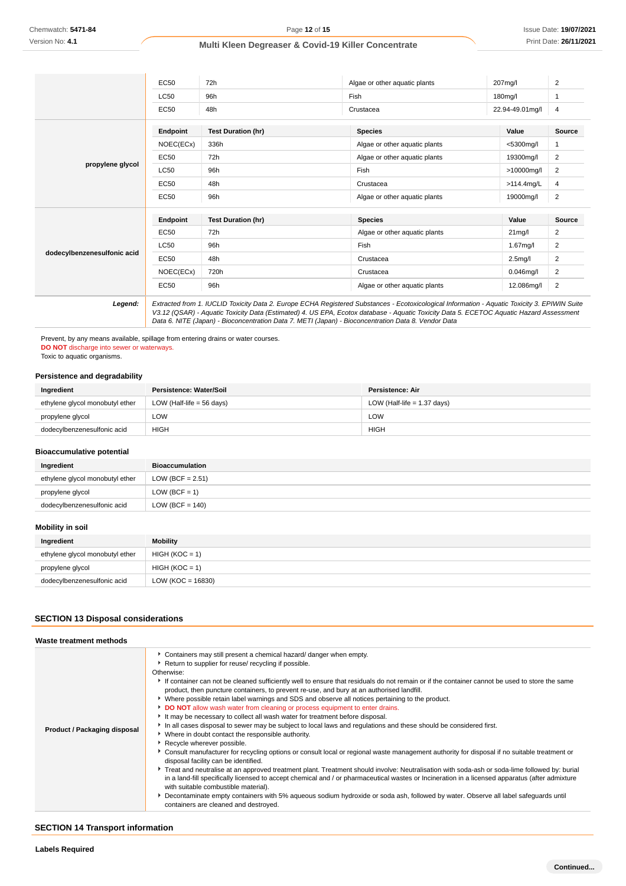|                             | <b>EC50</b>     | 72h                       | Algae or other aquatic plants                                                                                                                                                                                                                                                                                                                                                                   | 207mg/l              | 2              |
|-----------------------------|-----------------|---------------------------|-------------------------------------------------------------------------------------------------------------------------------------------------------------------------------------------------------------------------------------------------------------------------------------------------------------------------------------------------------------------------------------------------|----------------------|----------------|
|                             | <b>LC50</b>     | 96h                       | Fish                                                                                                                                                                                                                                                                                                                                                                                            | 180mg/l              | 1              |
|                             | EC50            | 48h                       | Crustacea                                                                                                                                                                                                                                                                                                                                                                                       | 22.94-49.01mg/l      | 4              |
|                             | <b>Endpoint</b> | <b>Test Duration (hr)</b> | <b>Species</b>                                                                                                                                                                                                                                                                                                                                                                                  | Value                | <b>Source</b>  |
|                             | NOEC(ECx)       | 336h                      | Algae or other aquatic plants                                                                                                                                                                                                                                                                                                                                                                   | <5300mg/l            | 1              |
|                             | <b>EC50</b>     | 72h                       | Algae or other aquatic plants                                                                                                                                                                                                                                                                                                                                                                   | 19300mg/l            | 2              |
| propylene glycol            | LC50            | 96h                       | Fish                                                                                                                                                                                                                                                                                                                                                                                            | >10000mg/l           | $\overline{2}$ |
|                             | EC50            | 48h                       | Crustacea                                                                                                                                                                                                                                                                                                                                                                                       | >114.4mg/L           | 4              |
|                             | EC50            | 96h                       | Algae or other aquatic plants                                                                                                                                                                                                                                                                                                                                                                   | 19000mg/l            | $\overline{2}$ |
|                             | Endpoint        | <b>Test Duration (hr)</b> | <b>Species</b>                                                                                                                                                                                                                                                                                                                                                                                  | Value                | <b>Source</b>  |
|                             | EC50            | 72h                       | Algae or other aquatic plants                                                                                                                                                                                                                                                                                                                                                                   | $21$ mg/l            | 2              |
|                             | <b>LC50</b>     | 96h                       | Fish                                                                                                                                                                                                                                                                                                                                                                                            | $1.67$ mg/l          | 2              |
| dodecylbenzenesulfonic acid | <b>EC50</b>     | 48h                       | Crustacea                                                                                                                                                                                                                                                                                                                                                                                       | 2.5 <sub>mq</sub> /l | $\overline{2}$ |
|                             | NOEC(ECx)       | 720h                      | Crustacea                                                                                                                                                                                                                                                                                                                                                                                       | $0.046$ mg/l         | 2              |
|                             | EC50            | 96h                       | Algae or other aquatic plants                                                                                                                                                                                                                                                                                                                                                                   | 12.086mg/l           | $\overline{2}$ |
| Legend:                     |                 |                           | Extracted from 1. IUCLID Toxicity Data 2. Europe ECHA Registered Substances - Ecotoxicological Information - Aquatic Toxicity 3. EPIWIN Suite<br>V3.12 (QSAR) - Aquatic Toxicity Data (Estimated) 4. US EPA, Ecotox database - Aquatic Toxicity Data 5. ECETOC Aquatic Hazard Assessment<br>Data 6. NITE (Japan) - Bioconcentration Data 7. METI (Japan) - Bioconcentration Data 8. Vendor Data |                      |                |

Prevent, by any means available, spillage from entering drains or water courses. **DO NOT** discharge into sewer or waterways.

Toxic to aquatic organisms.

## **Persistence and degradability**

| Ingredient                      | Persistence: Water/Soil              | Persistence: Air              |
|---------------------------------|--------------------------------------|-------------------------------|
| ethylene glycol monobutyl ether | LOW (Half-life = $56 \text{ days}$ ) | LOW (Half-life $= 1.37$ days) |
| propylene glycol                | LOW                                  | LOW                           |
| dodecylbenzenesulfonic acid     | <b>HIGH</b>                          | <b>HIGH</b>                   |

#### **Bioaccumulative potential**

| Ingredient                      | <b>Bioaccumulation</b> |
|---------------------------------|------------------------|
| ethylene glycol monobutyl ether | LOW (BCF = $2.51$ )    |
| propylene glycol                | $LOW (BCF = 1)$        |
| dodecylbenzenesulfonic acid     | LOW (BCF = $140$ )     |

# **Mobility in soil**

| Ingredient                      | <b>Mobility</b>      |
|---------------------------------|----------------------|
| ethylene glycol monobutyl ether | $HIGH (KOC = 1)$     |
| propylene glycol                | $HIGH (KOC = 1)$     |
| dodecylbenzenesulfonic acid     | LOW (KOC = $16830$ ) |

# **SECTION 13 Disposal considerations**

#### **Waste treatment methods**

| Product / Packaging disposal | Containers may still present a chemical hazard/ danger when empty.<br>Return to supplier for reuse/ recycling if possible.<br>Otherwise:<br>If container can not be cleaned sufficiently well to ensure that residuals do not remain or if the container cannot be used to store the same<br>product, then puncture containers, to prevent re-use, and bury at an authorised landfill.<br>▶ Where possible retain label warnings and SDS and observe all notices pertaining to the product.<br>DO NOT allow wash water from cleaning or process equipment to enter drains.<br>It may be necessary to collect all wash water for treatment before disposal.<br>In all cases disposal to sewer may be subject to local laws and regulations and these should be considered first.<br>• Where in doubt contact the responsible authority.<br>Recycle wherever possible.<br>▶ Consult manufacturer for recycling options or consult local or regional waste management authority for disposal if no suitable treatment or<br>disposal facility can be identified.<br>Freat and neutralise at an approved treatment plant. Treatment should involve: Neutralisation with soda-ash or soda-lime followed by: burial<br>in a land-fill specifically licensed to accept chemical and / or pharmaceutical wastes or Incineration in a licensed apparatus (after admixture<br>with suitable combustible material).<br>> Decontaminate empty containers with 5% aqueous sodium hydroxide or soda ash, followed by water. Observe all label safeguards until<br>containers are cleaned and destroyed. |
|------------------------------|-------------------------------------------------------------------------------------------------------------------------------------------------------------------------------------------------------------------------------------------------------------------------------------------------------------------------------------------------------------------------------------------------------------------------------------------------------------------------------------------------------------------------------------------------------------------------------------------------------------------------------------------------------------------------------------------------------------------------------------------------------------------------------------------------------------------------------------------------------------------------------------------------------------------------------------------------------------------------------------------------------------------------------------------------------------------------------------------------------------------------------------------------------------------------------------------------------------------------------------------------------------------------------------------------------------------------------------------------------------------------------------------------------------------------------------------------------------------------------------------------------------------------------------------------------------------------------------------|

# **SECTION 14 Transport information**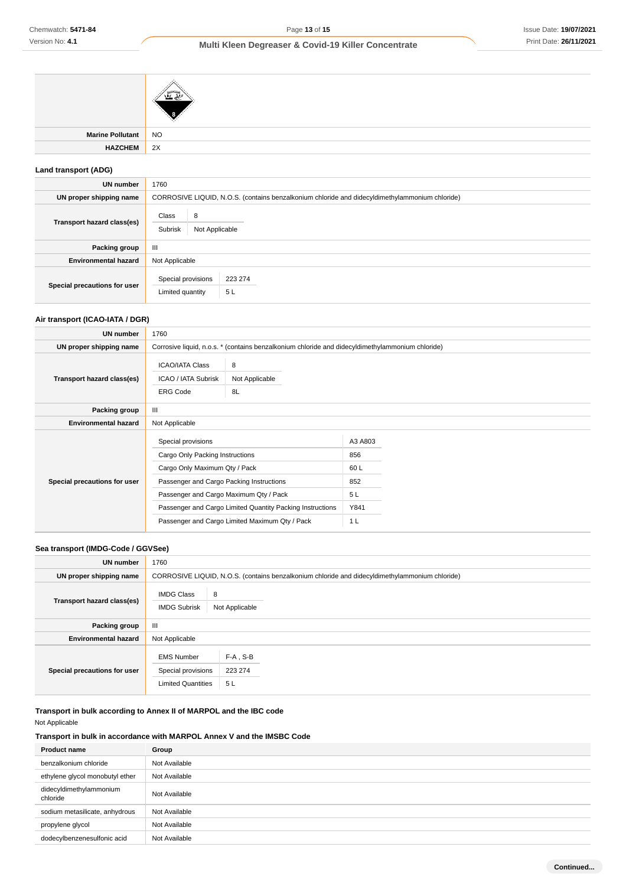# **Multi Kleen Degreaser & Covid-19 Killer Concentrate**

| <b>Marine Pollutant</b> | <b>NO</b> |
|-------------------------|-----------|
| <b>HAZCHEM</b>          | 2X        |
|                         |           |

# **Land transport (ADG)**

| UN number                    | 1760                                                                                           |  |  |
|------------------------------|------------------------------------------------------------------------------------------------|--|--|
| UN proper shipping name      | CORROSIVE LIQUID, N.O.S. (contains benzalkonium chloride and didecyldimethylammonium chloride) |  |  |
| Transport hazard class(es)   | Class<br>8<br>Subrisk<br>Not Applicable                                                        |  |  |
| Packing group                | $\mathbf{III}$                                                                                 |  |  |
| <b>Environmental hazard</b>  | Not Applicable                                                                                 |  |  |
| Special precautions for user | Special provisions<br>223 274<br>5L<br>Limited quantity                                        |  |  |

# **Air transport (ICAO-IATA / DGR)**

| UN number                    | 1760                                                                                                                                                                                                                                                                                        |                           |                                                              |
|------------------------------|---------------------------------------------------------------------------------------------------------------------------------------------------------------------------------------------------------------------------------------------------------------------------------------------|---------------------------|--------------------------------------------------------------|
| UN proper shipping name      | Corrosive liquid, n.o.s. * (contains benzalkonium chloride and didecyldimethylammonium chloride)                                                                                                                                                                                            |                           |                                                              |
| Transport hazard class(es)   | <b>ICAO/IATA Class</b><br>ICAO / IATA Subrisk<br><b>ERG Code</b>                                                                                                                                                                                                                            | 8<br>Not Applicable<br>8L |                                                              |
| Packing group                | $\mathbf{III}$                                                                                                                                                                                                                                                                              |                           |                                                              |
| <b>Environmental hazard</b>  | Not Applicable                                                                                                                                                                                                                                                                              |                           |                                                              |
| Special precautions for user | Special provisions<br>Cargo Only Packing Instructions<br>Cargo Only Maximum Qty / Pack<br>Passenger and Cargo Packing Instructions<br>Passenger and Cargo Maximum Qty / Pack<br>Passenger and Cargo Limited Quantity Packing Instructions<br>Passenger and Cargo Limited Maximum Qty / Pack |                           | A3 A803<br>856<br>60L<br>852<br>5L<br>Y841<br>1 <sub>L</sub> |

## **Sea transport (IMDG-Code / GGVSee)**

| <b>UN number</b>             | 1760                                                                 |                                                                                                |  |  |
|------------------------------|----------------------------------------------------------------------|------------------------------------------------------------------------------------------------|--|--|
| UN proper shipping name      |                                                                      | CORROSIVE LIQUID, N.O.S. (contains benzalkonium chloride and didecyldimethylammonium chloride) |  |  |
| Transport hazard class(es)   | <b>IMDG Class</b><br><b>IMDG Subrisk</b>                             | 8<br>Not Applicable                                                                            |  |  |
| Packing group                | Ш                                                                    |                                                                                                |  |  |
| <b>Environmental hazard</b>  | Not Applicable                                                       |                                                                                                |  |  |
| Special precautions for user | <b>EMS Number</b><br>Special provisions<br><b>Limited Quantities</b> | $F-A$ , S-B<br>223 274<br>5L                                                                   |  |  |

**Transport in bulk according to Annex II of MARPOL and the IBC code** Not Applicable

# **Transport in bulk in accordance with MARPOL Annex V and the IMSBC Code**

| <b>Product name</b>                 | Group         |
|-------------------------------------|---------------|
| benzalkonium chloride               | Not Available |
| ethylene glycol monobutyl ether     | Not Available |
| didecyldimethylammonium<br>chloride | Not Available |
| sodium metasilicate, anhydrous      | Not Available |
| propylene glycol                    | Not Available |
| dodecylbenzenesulfonic acid         | Not Available |
|                                     |               |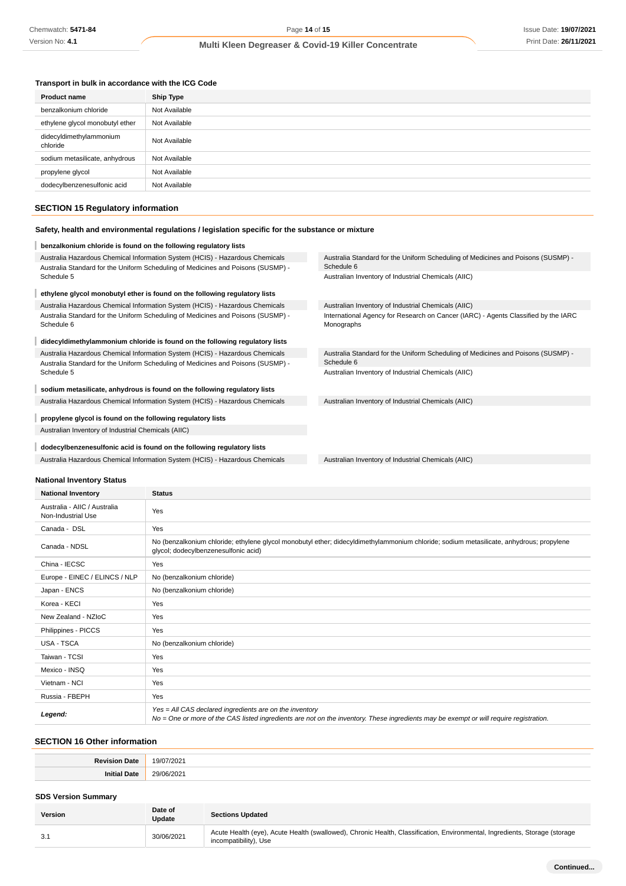## **Transport in bulk in accordance with the ICG Code**

| Ship Type     |
|---------------|
| Not Available |
| Not Available |
| Not Available |
| Not Available |
| Not Available |
| Not Available |
|               |

# **SECTION 15 Regulatory information**

## **Safety, health and environmental regulations / legislation specific for the substance or mixture**

| benzalkonium chloride is found on the following regulatory lists                               |                                                                                                  |  |
|------------------------------------------------------------------------------------------------|--------------------------------------------------------------------------------------------------|--|
| Australia Hazardous Chemical Information System (HCIS) - Hazardous Chemicals                   | Australia Standard for the Uniform Scheduling of Medicines and Poisons (SUSMP) -                 |  |
| Australia Standard for the Uniform Scheduling of Medicines and Poisons (SUSMP) -<br>Schedule 5 | Schedule 6<br>Australian Inventory of Industrial Chemicals (AIIC)                                |  |
|                                                                                                |                                                                                                  |  |
| ethylene glycol monobutyl ether is found on the following regulatory lists                     |                                                                                                  |  |
| Australia Hazardous Chemical Information System (HCIS) - Hazardous Chemicals                   | Australian Inventory of Industrial Chemicals (AIIC)                                              |  |
| Australia Standard for the Uniform Scheduling of Medicines and Poisons (SUSMP) -<br>Schedule 6 | International Agency for Research on Cancer (IARC) - Agents Classified by the IARC<br>Monographs |  |
| didecyldimethylammonium chloride is found on the following regulatory lists                    |                                                                                                  |  |
| Australia Hazardous Chemical Information System (HCIS) - Hazardous Chemicals                   | Australia Standard for the Uniform Scheduling of Medicines and Poisons (SUSMP) -                 |  |
| Australia Standard for the Uniform Scheduling of Medicines and Poisons (SUSMP) -               | Schedule 6                                                                                       |  |
| Schedule 5                                                                                     | Australian Inventory of Industrial Chemicals (AIIC)                                              |  |
| sodium metasilicate, anhydrous is found on the following regulatory lists                      |                                                                                                  |  |
| Australia Hazardous Chemical Information System (HCIS) - Hazardous Chemicals                   | Australian Inventory of Industrial Chemicals (AIIC)                                              |  |
| propylene glycol is found on the following regulatory lists                                    |                                                                                                  |  |
| Australian Inventory of Industrial Chemicals (AIIC)                                            |                                                                                                  |  |
| dodecylbenzenesulfonic acid is found on the following regulatory lists                         |                                                                                                  |  |
|                                                                                                |                                                                                                  |  |
| Australia Hazardous Chemical Information System (HCIS) - Hazardous Chemicals                   | Australian Inventory of Industrial Chemicals (AIIC)                                              |  |

## **National Inventory Status**

| <b>National Inventory</b>                          | <b>Status</b>                                                                                                                                                                                     |
|----------------------------------------------------|---------------------------------------------------------------------------------------------------------------------------------------------------------------------------------------------------|
| Australia - AIIC / Australia<br>Non-Industrial Use | Yes                                                                                                                                                                                               |
| Canada - DSL                                       | Yes                                                                                                                                                                                               |
| Canada - NDSL                                      | No (benzalkonium chloride; ethylene glycol monobutyl ether; didecyldimethylammonium chloride; sodium metasilicate, anhydrous; propylene<br>qlycol; dodecylbenzenesulfonic acid)                   |
| China - IECSC                                      | Yes                                                                                                                                                                                               |
| Europe - EINEC / ELINCS / NLP                      | No (benzalkonium chloride)                                                                                                                                                                        |
| Japan - ENCS                                       | No (benzalkonium chloride)                                                                                                                                                                        |
| Korea - KECI                                       | Yes                                                                                                                                                                                               |
| New Zealand - NZIoC                                | Yes                                                                                                                                                                                               |
| Philippines - PICCS                                | Yes                                                                                                                                                                                               |
| <b>USA - TSCA</b>                                  | No (benzalkonium chloride)                                                                                                                                                                        |
| Taiwan - TCSI                                      | Yes                                                                                                                                                                                               |
| Mexico - INSQ                                      | Yes                                                                                                                                                                                               |
| Vietnam - NCI                                      | Yes                                                                                                                                                                                               |
| Russia - FBEPH                                     | Yes                                                                                                                                                                                               |
| Legend:                                            | Yes = All CAS declared ingredients are on the inventory<br>No = One or more of the CAS listed ingredients are not on the inventory. These ingredients may be exempt or will require registration. |

# **SECTION 16 Other information**

| ∍∼<br>$-1010$<br>.<br>. | 19/1<br>າດດ<br>ツロン<br>. <i>. .</i><br>. |
|-------------------------|-----------------------------------------|
| $\sim$<br>,,,,          | 29/06<br>$\sim$<br>- 21<br>υ.           |

## **SDS Version Summary**

| <b>Version</b> | Date of<br><b>Update</b> | <b>Sections Updated</b>                                                                                                                             |
|----------------|--------------------------|-----------------------------------------------------------------------------------------------------------------------------------------------------|
| -3.1           | 30/06/2021               | Acute Health (eye), Acute Health (swallowed), Chronic Health, Classification, Environmental, Ingredients, Storage (storage<br>incompatibility), Use |
|                |                          |                                                                                                                                                     |